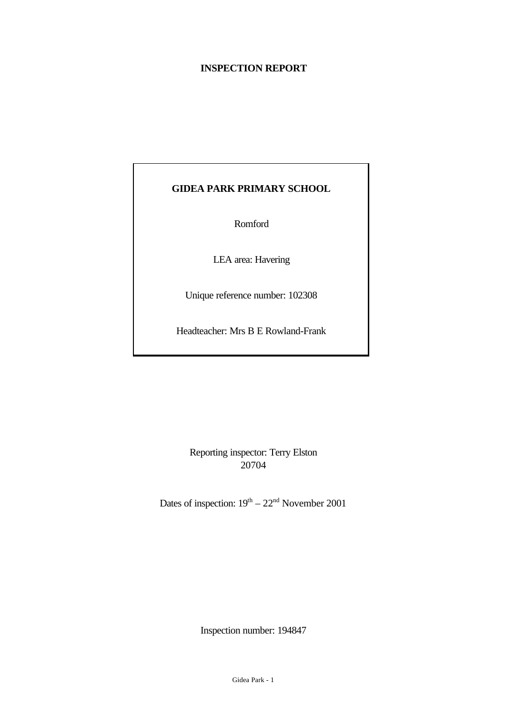## **INSPECTION REPORT**

# **GIDEA PARK PRIMARY SCHOOL**

Romford

LEA area: Havering

Unique reference number: 102308

Headteacher: Mrs B E Rowland-Frank

Reporting inspector: Terry Elston 20704

Dates of inspection:  $19^{th} - 22^{nd}$  November 2001

Inspection number: 194847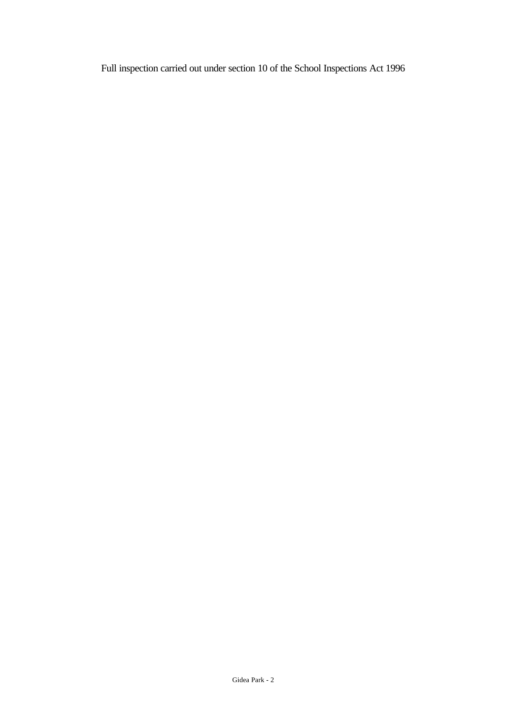Full inspection carried out under section 10 of the School Inspections Act 1996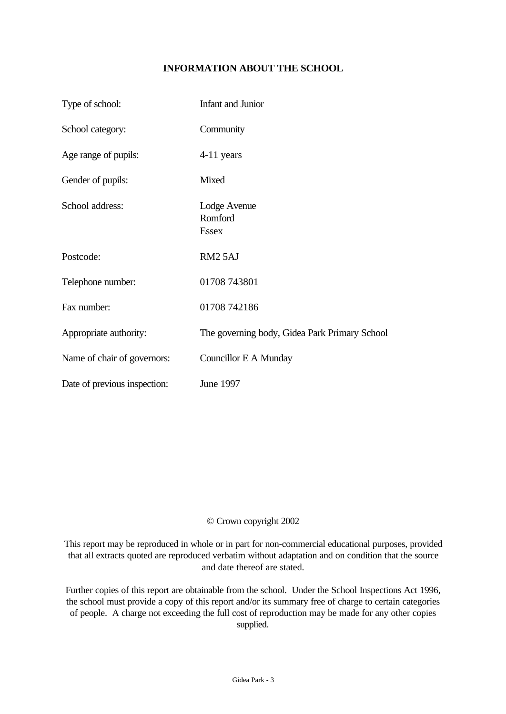# **INFORMATION ABOUT THE SCHOOL**

| Type of school:              | Infant and Junior                             |
|------------------------------|-----------------------------------------------|
| School category:             | Community                                     |
| Age range of pupils:         | 4-11 years                                    |
| Gender of pupils:            | Mixed                                         |
| School address:              | Lodge Avenue<br>Romford<br><b>Essex</b>       |
| Postcode:                    | RM <sub>2</sub> 5AJ                           |
| Telephone number:            | 01708 743801                                  |
| Fax number:                  | 01708 742186                                  |
| Appropriate authority:       | The governing body, Gidea Park Primary School |
| Name of chair of governors:  | Councillor E A Munday                         |
| Date of previous inspection: | June 1997                                     |

## © Crown copyright 2002

This report may be reproduced in whole or in part for non-commercial educational purposes, provided that all extracts quoted are reproduced verbatim without adaptation and on condition that the source and date thereof are stated.

Further copies of this report are obtainable from the school. Under the School Inspections Act 1996, the school must provide a copy of this report and/or its summary free of charge to certain categories of people. A charge not exceeding the full cost of reproduction may be made for any other copies supplied.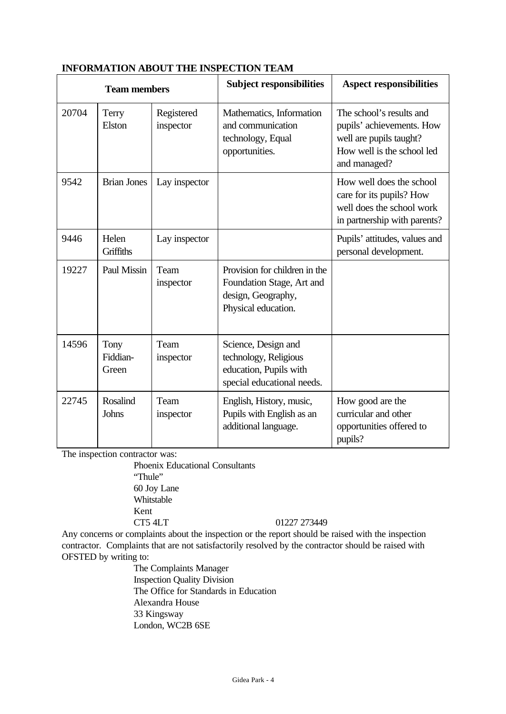|       | <b>Team members</b>       |                         | <b>Subject responsibilities</b>                                                                         | <b>Aspect responsibilities</b>                                                                                                 |
|-------|---------------------------|-------------------------|---------------------------------------------------------------------------------------------------------|--------------------------------------------------------------------------------------------------------------------------------|
| 20704 | Terry<br>Elston           | Registered<br>inspector | Mathematics, Information<br>and communication<br>technology, Equal<br>opportunities.                    | The school's results and<br>pupils' achievements. How<br>well are pupils taught?<br>How well is the school led<br>and managed? |
| 9542  | <b>Brian Jones</b>        | Lay inspector           |                                                                                                         | How well does the school<br>care for its pupils? How<br>well does the school work<br>in partnership with parents?              |
| 9446  | Helen<br>Griffiths        | Lay inspector           |                                                                                                         | Pupils' attitudes, values and<br>personal development.                                                                         |
| 19227 | Paul Missin               | Team<br>inspector       | Provision for children in the<br>Foundation Stage, Art and<br>design, Geography,<br>Physical education. |                                                                                                                                |
| 14596 | Tony<br>Fiddian-<br>Green | Team<br>inspector       | Science, Design and<br>technology, Religious<br>education, Pupils with<br>special educational needs.    |                                                                                                                                |
| 22745 | <b>Rosalind</b><br>Johns  | Team<br>inspector       | English, History, music,<br>Pupils with English as an<br>additional language.                           | How good are the<br>curricular and other<br>opportunities offered to<br>pupils?                                                |

# **INFORMATION ABOUT THE INSPECTION TEAM**

The inspection contractor was:

Phoenix Educational Consultants

"Thule" 60 Joy Lane Whitstable Kent

CT5 4LT 01227 273449

Any concerns or complaints about the inspection or the report should be raised with the inspection contractor. Complaints that are not satisfactorily resolved by the contractor should be raised with OFSTED by writing to:

> The Complaints Manager Inspection Quality Division The Office for Standards in Education Alexandra House 33 Kingsway London, WC2B 6SE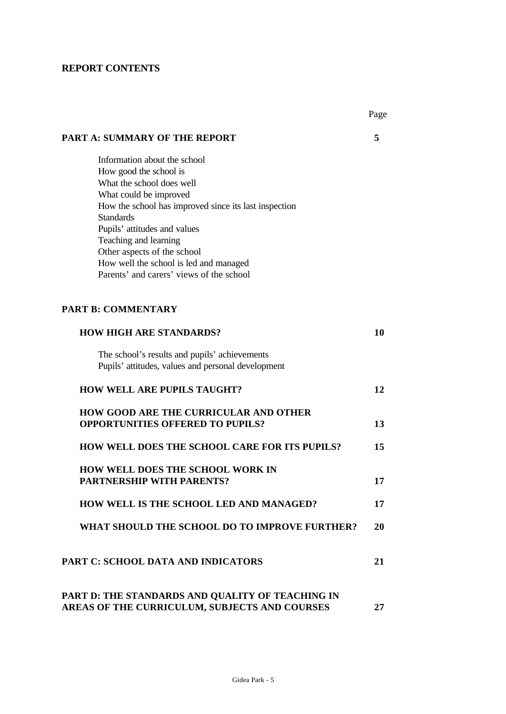## **REPORT CONTENTS**

|                                                                           | Page |
|---------------------------------------------------------------------------|------|
| <b>PART A: SUMMARY OF THE REPORT</b>                                      | 5    |
| Information about the school                                              |      |
| How good the school is                                                    |      |
| What the school does well                                                 |      |
| What could be improved                                                    |      |
| How the school has improved since its last inspection<br><b>Standards</b> |      |
| Pupils' attitudes and values                                              |      |
| Teaching and learning                                                     |      |
| Other aspects of the school                                               |      |
| How well the school is led and managed                                    |      |
| Parents' and carers' views of the school                                  |      |
|                                                                           |      |
| <b>PART B: COMMENTARY</b>                                                 |      |
| <b>HOW HIGH ARE STANDARDS?</b>                                            | 10   |
| The school's results and pupils' achievements                             |      |
| Pupils' attitudes, values and personal development                        |      |
| <b>HOW WELL ARE PUPILS TAUGHT?</b>                                        | 12   |
| <b>HOW GOOD ARE THE CURRICULAR AND OTHER</b>                              |      |
| <b>OPPORTUNITIES OFFERED TO PUPILS?</b>                                   | 13   |
| <b>HOW WELL DOES THE SCHOOL CARE FOR ITS PUPILS?</b>                      | 15   |
| <b>HOW WELL DOES THE SCHOOL WORK IN</b>                                   |      |
| <b>PARTNERSHIP WITH PARENTS?</b>                                          | 17   |
| HOW WELL IS THE SCHOOL LED AND MANAGED?                                   | 17   |
| WHAT SHOULD THE SCHOOL DO TO IMPROVE FURTHER?                             | 20   |
| <b>PART C: SCHOOL DATA AND INDICATORS</b>                                 | 21   |
| PART D: THE STANDARDS AND QUALITY OF TEACHING IN                          |      |
| AREAS OF THE CURRICULUM, SUBJECTS AND COURSES                             | 27   |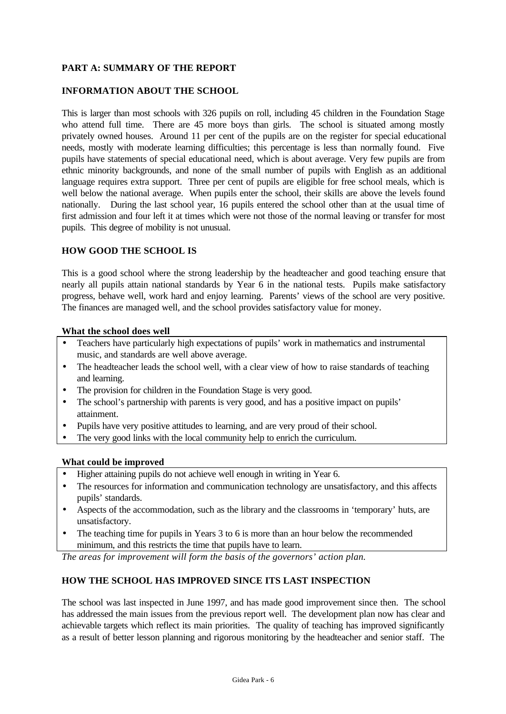## **PART A: SUMMARY OF THE REPORT**

#### **INFORMATION ABOUT THE SCHOOL**

This is larger than most schools with 326 pupils on roll, including 45 children in the Foundation Stage who attend full time. There are 45 more boys than girls. The school is situated among mostly privately owned houses. Around 11 per cent of the pupils are on the register for special educational needs, mostly with moderate learning difficulties; this percentage is less than normally found. Five pupils have statements of special educational need, which is about average. Very few pupils are from ethnic minority backgrounds, and none of the small number of pupils with English as an additional language requires extra support. Three per cent of pupils are eligible for free school meals, which is well below the national average. When pupils enter the school, their skills are above the levels found nationally. During the last school year, 16 pupils entered the school other than at the usual time of first admission and four left it at times which were not those of the normal leaving or transfer for most pupils. This degree of mobility is not unusual.

#### **HOW GOOD THE SCHOOL IS**

This is a good school where the strong leadership by the headteacher and good teaching ensure that nearly all pupils attain national standards by Year 6 in the national tests. Pupils make satisfactory progress, behave well, work hard and enjoy learning. Parents' views of the school are very positive. The finances are managed well, and the school provides satisfactory value for money.

#### **What the school does well**

- Teachers have particularly high expectations of pupils' work in mathematics and instrumental music, and standards are well above average.
- The headteacher leads the school well, with a clear view of how to raise standards of teaching and learning.
- The provision for children in the Foundation Stage is very good.
- The school's partnership with parents is very good, and has a positive impact on pupils' attainment.
- Pupils have very positive attitudes to learning, and are very proud of their school.
- The very good links with the local community help to enrich the curriculum.

#### **What could be improved**

- Higher attaining pupils do not achieve well enough in writing in Year 6.
- The resources for information and communication technology are unsatisfactory, and this affects pupils' standards.
- Aspects of the accommodation, such as the library and the classrooms in 'temporary' huts, are unsatisfactory.
- The teaching time for pupils in Years 3 to 6 is more than an hour below the recommended minimum, and this restricts the time that pupils have to learn.

*The areas for improvement will form the basis of the governors' action plan.*

## **HOW THE SCHOOL HAS IMPROVED SINCE ITS LAST INSPECTION**

The school was last inspected in June 1997, and has made good improvement since then. The school has addressed the main issues from the previous report well. The development plan now has clear and achievable targets which reflect its main priorities. The quality of teaching has improved significantly as a result of better lesson planning and rigorous monitoring by the headteacher and senior staff. The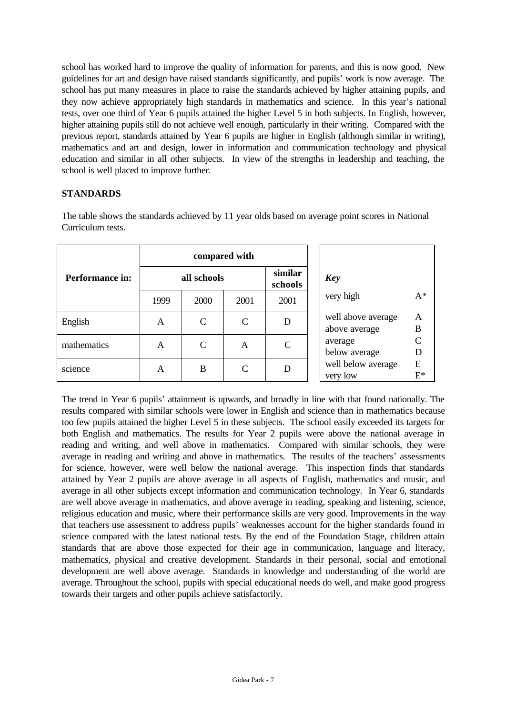school has worked hard to improve the quality of information for parents, and this is now good. New guidelines for art and design have raised standards significantly, and pupils' work is now average. The school has put many measures in place to raise the standards achieved by higher attaining pupils, and they now achieve appropriately high standards in mathematics and science. In this year's national tests, over one third of Year 6 pupils attained the higher Level 5 in both subjects. In English, however, higher attaining pupils still do not achieve well enough, particularly in their writing. Compared with the previous report, standards attained by Year 6 pupils are higher in English (although similar in writing), mathematics and art and design, lower in information and communication technology and physical education and similar in all other subjects. In view of the strengths in leadership and teaching, the school is well placed to improve further.

## **STANDARDS**

The table shows the standards achieved by 11 year olds based on average point scores in National Curriculum tests.

|                 | compared with |               |               |                    |                                     |                        |
|-----------------|---------------|---------------|---------------|--------------------|-------------------------------------|------------------------|
| Performance in: | all schools   |               |               | similar<br>schools | Key                                 |                        |
|                 | 1999          | 2000          | 2001          | 2001               | very high                           | $A^*$                  |
| English         | A             | $\mathcal{C}$ | $\mathcal{C}$ | D                  | well above average<br>above average | A<br>B                 |
| mathematics     | A             | $\mathcal{C}$ | A             | $\mathsf{\Gamma}$  | average<br>below average            | $\mathsf{\Gamma}$<br>D |
| science         | A             | B             | $\mathcal{C}$ | D                  | well below average<br>very low      | E<br>$\mathrm{E}^*$    |

The trend in Year 6 pupils' attainment is upwards, and broadly in line with that found nationally. The results compared with similar schools were lower in English and science than in mathematics because too few pupils attained the higher Level 5 in these subjects. The school easily exceeded its targets for both English and mathematics. The results for Year 2 pupils were above the national average in reading and writing, and well above in mathematics. Compared with similar schools, they were average in reading and writing and above in mathematics. The results of the teachers' assessments for science, however, were well below the national average. This inspection finds that standards attained by Year 2 pupils are above average in all aspects of English, mathematics and music, and average in all other subjects except information and communication technology. In Year 6, standards are well above average in mathematics, and above average in reading, speaking and listening, science, religious education and music, where their performance skills are very good. Improvements in the way that teachers use assessment to address pupils' weaknesses account for the higher standards found in science compared with the latest national tests. By the end of the Foundation Stage, children attain standards that are above those expected for their age in communication, language and literacy, mathematics, physical and creative development. Standards in their personal, social and emotional development are well above average. Standards in knowledge and understanding of the world are average. Throughout the school, pupils with special educational needs do well, and make good progress towards their targets and other pupils achieve satisfactorily.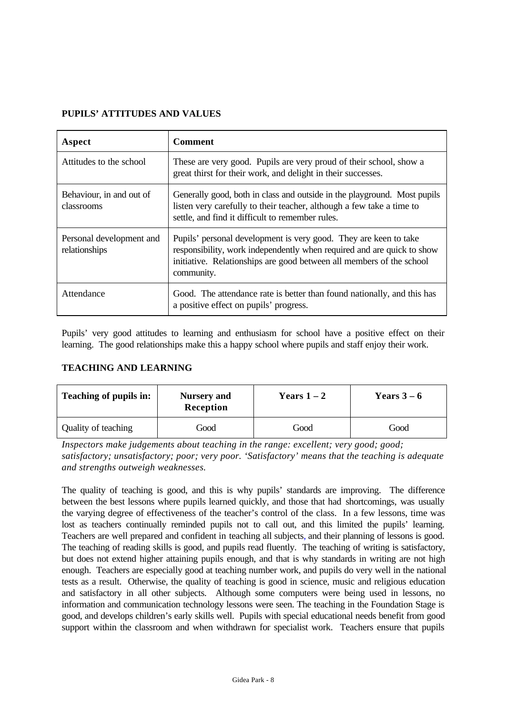# **PUPILS' ATTITUDES AND VALUES**

| Aspect                                    | <b>Comment</b>                                                                                                                                                                                                                   |
|-------------------------------------------|----------------------------------------------------------------------------------------------------------------------------------------------------------------------------------------------------------------------------------|
| Attitudes to the school                   | These are very good. Pupils are very proud of their school, show a<br>great thirst for their work, and delight in their successes.                                                                                               |
| Behaviour, in and out of<br>classrooms    | Generally good, both in class and outside in the playground. Most pupils<br>listen very carefully to their teacher, although a few take a time to<br>settle, and find it difficult to remember rules.                            |
| Personal development and<br>relationships | Pupils' personal development is very good. They are keen to take<br>responsibility, work independently when required and are quick to show<br>initiative. Relationships are good between all members of the school<br>community. |
| Attendance                                | Good. The attendance rate is better than found nationally, and this has<br>a positive effect on pupils' progress.                                                                                                                |

Pupils' very good attitudes to learning and enthusiasm for school have a positive effect on their learning. The good relationships make this a happy school where pupils and staff enjoy their work.

# **TEACHING AND LEARNING**

| Teaching of pupils in:<br><b>Nursery</b> and<br>Reception |      | Years $1-2$ | Years $3-6$ |  |
|-----------------------------------------------------------|------|-------------|-------------|--|
| Quality of teaching                                       | Good | Good        | Good        |  |

*Inspectors make judgements about teaching in the range: excellent; very good; good; satisfactory; unsatisfactory; poor; very poor. 'Satisfactory' means that the teaching is adequate and strengths outweigh weaknesses.*

The quality of teaching is good, and this is why pupils' standards are improving. The difference between the best lessons where pupils learned quickly, and those that had shortcomings, was usually the varying degree of effectiveness of the teacher's control of the class. In a few lessons, time was lost as teachers continually reminded pupils not to call out, and this limited the pupils' learning. Teachers are well prepared and confident in teaching all subjects, and their planning of lessons is good. The teaching of reading skills is good, and pupils read fluently. The teaching of writing is satisfactory, but does not extend higher attaining pupils enough, and that is why standards in writing are not high enough. Teachers are especially good at teaching number work, and pupils do very well in the national tests as a result. Otherwise, the quality of teaching is good in science, music and religious education and satisfactory in all other subjects. Although some computers were being used in lessons, no information and communication technology lessons were seen. The teaching in the Foundation Stage is good, and develops children's early skills well. Pupils with special educational needs benefit from good support within the classroom and when withdrawn for specialist work. Teachers ensure that pupils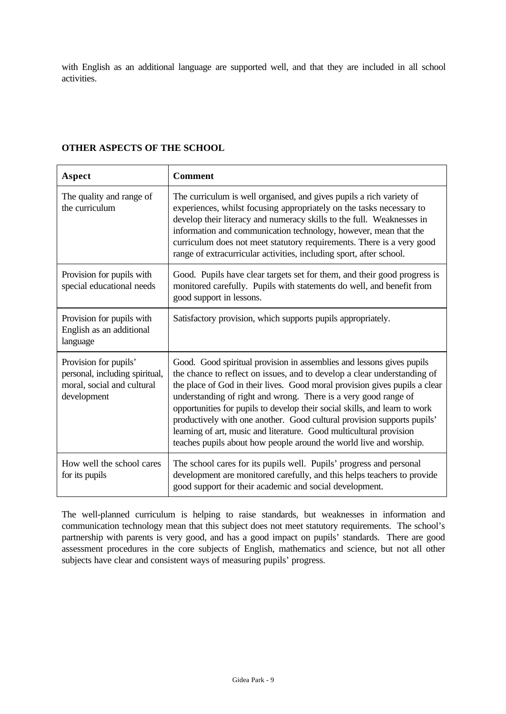with English as an additional language are supported well, and that they are included in all school activities.

#### **OTHER ASPECTS OF THE SCHOOL**

| Aspect                                                                                               | <b>Comment</b>                                                                                                                                                                                                                                                                                                                                                                                                                                                                                                                                                                                           |
|------------------------------------------------------------------------------------------------------|----------------------------------------------------------------------------------------------------------------------------------------------------------------------------------------------------------------------------------------------------------------------------------------------------------------------------------------------------------------------------------------------------------------------------------------------------------------------------------------------------------------------------------------------------------------------------------------------------------|
| The quality and range of<br>the curriculum                                                           | The curriculum is well organised, and gives pupils a rich variety of<br>experiences, whilst focusing appropriately on the tasks necessary to<br>develop their literacy and numeracy skills to the full. Weaknesses in<br>information and communication technology, however, mean that the<br>curriculum does not meet statutory requirements. There is a very good<br>range of extracurricular activities, including sport, after school.                                                                                                                                                                |
| Provision for pupils with<br>special educational needs                                               | Good. Pupils have clear targets set for them, and their good progress is<br>monitored carefully. Pupils with statements do well, and benefit from<br>good support in lessons.                                                                                                                                                                                                                                                                                                                                                                                                                            |
| Provision for pupils with<br>English as an additional<br>language                                    | Satisfactory provision, which supports pupils appropriately.                                                                                                                                                                                                                                                                                                                                                                                                                                                                                                                                             |
| Provision for pupils'<br>personal, including spiritual,<br>moral, social and cultural<br>development | Good. Good spiritual provision in assemblies and lessons gives pupils<br>the chance to reflect on issues, and to develop a clear understanding of<br>the place of God in their lives. Good moral provision gives pupils a clear<br>understanding of right and wrong. There is a very good range of<br>opportunities for pupils to develop their social skills, and learn to work<br>productively with one another. Good cultural provision supports pupils'<br>learning of art, music and literature. Good multicultural provision<br>teaches pupils about how people around the world live and worship. |
| How well the school cares<br>for its pupils                                                          | The school cares for its pupils well. Pupils' progress and personal<br>development are monitored carefully, and this helps teachers to provide<br>good support for their academic and social development.                                                                                                                                                                                                                                                                                                                                                                                                |

The well-planned curriculum is helping to raise standards, but weaknesses in information and communication technology mean that this subject does not meet statutory requirements. The school's partnership with parents is very good, and has a good impact on pupils' standards. There are good assessment procedures in the core subjects of English, mathematics and science, but not all other subjects have clear and consistent ways of measuring pupils' progress.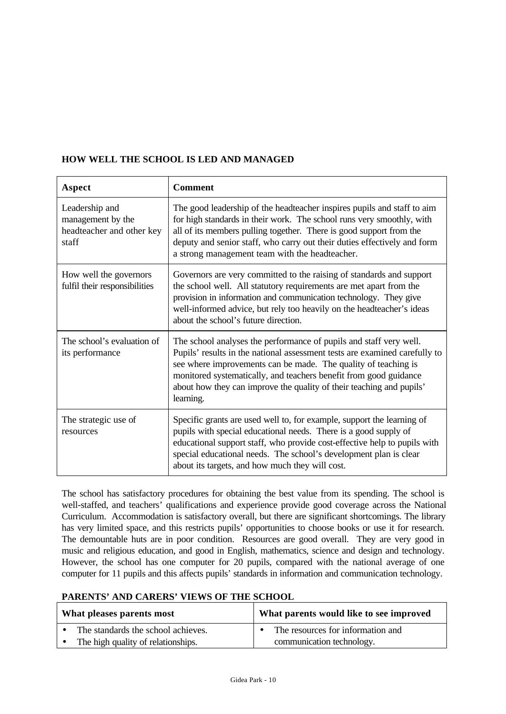# **HOW WELL THE SCHOOL IS LED AND MANAGED**

| Aspect                                                                    | <b>Comment</b>                                                                                                                                                                                                                                                                                                                                                               |
|---------------------------------------------------------------------------|------------------------------------------------------------------------------------------------------------------------------------------------------------------------------------------------------------------------------------------------------------------------------------------------------------------------------------------------------------------------------|
| Leadership and<br>management by the<br>headteacher and other key<br>staff | The good leadership of the headteacher inspires pupils and staff to aim<br>for high standards in their work. The school runs very smoothly, with<br>all of its members pulling together. There is good support from the<br>deputy and senior staff, who carry out their duties effectively and form<br>a strong management team with the headteacher.                        |
| How well the governors<br>fulfil their responsibilities                   | Governors are very committed to the raising of standards and support<br>the school well. All statutory requirements are met apart from the<br>provision in information and communication technology. They give<br>well-informed advice, but rely too heavily on the headteacher's ideas<br>about the school's future direction.                                              |
| The school's evaluation of<br>its performance                             | The school analyses the performance of pupils and staff very well.<br>Pupils' results in the national assessment tests are examined carefully to<br>see where improvements can be made. The quality of teaching is<br>monitored systematically, and teachers benefit from good guidance<br>about how they can improve the quality of their teaching and pupils'<br>learning. |
| The strategic use of<br>resources                                         | Specific grants are used well to, for example, support the learning of<br>pupils with special educational needs. There is a good supply of<br>educational support staff, who provide cost-effective help to pupils with<br>special educational needs. The school's development plan is clear<br>about its targets, and how much they will cost.                              |

The school has satisfactory procedures for obtaining the best value from its spending. The school is well-staffed, and teachers' qualifications and experience provide good coverage across the National Curriculum. Accommodation is satisfactory overall, but there are significant shortcomings. The library has very limited space, and this restricts pupils' opportunities to choose books or use it for research. The demountable huts are in poor condition. Resources are good overall. They are very good in music and religious education, and good in English, mathematics, science and design and technology. However, the school has one computer for 20 pupils, compared with the national average of one computer for 11 pupils and this affects pupils' standards in information and communication technology.

## **PARENTS' AND CARERS' VIEWS OF THE SCHOOL**

| What pleases parents most          | What parents would like to see improved |  |  |
|------------------------------------|-----------------------------------------|--|--|
| The standards the school achieves. | The resources for information and       |  |  |
| The high quality of relationships. | communication technology.               |  |  |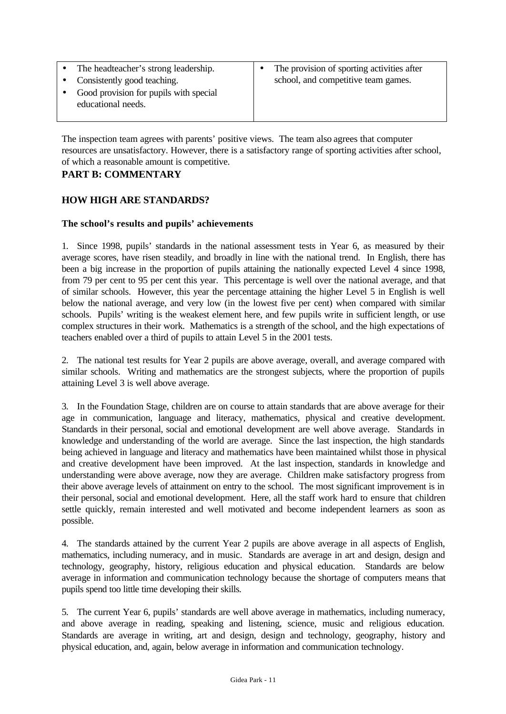| The headteacher's strong leadership.   | $\bullet$ | The provision of sporting activities after |
|----------------------------------------|-----------|--------------------------------------------|
| • Consistently good teaching.          |           | school, and competitive team games.        |
| Good provision for pupils with special |           |                                            |
| educational needs.                     |           |                                            |
|                                        |           |                                            |

The inspection team agrees with parents' positive views. The team also agrees that computer resources are unsatisfactory. However, there is a satisfactory range of sporting activities after school, of which a reasonable amount is competitive.

# **PART B: COMMENTARY**

# **HOW HIGH ARE STANDARDS?**

#### **The school's results and pupils' achievements**

1. Since 1998, pupils' standards in the national assessment tests in Year 6, as measured by their average scores, have risen steadily, and broadly in line with the national trend. In English, there has been a big increase in the proportion of pupils attaining the nationally expected Level 4 since 1998, from 79 per cent to 95 per cent this year. This percentage is well over the national average, and that of similar schools. However, this year the percentage attaining the higher Level 5 in English is well below the national average, and very low (in the lowest five per cent) when compared with similar schools. Pupils' writing is the weakest element here, and few pupils write in sufficient length, or use complex structures in their work. Mathematics is a strength of the school, and the high expectations of teachers enabled over a third of pupils to attain Level 5 in the 2001 tests.

2. The national test results for Year 2 pupils are above average, overall, and average compared with similar schools. Writing and mathematics are the strongest subjects, where the proportion of pupils attaining Level 3 is well above average.

3. In the Foundation Stage, children are on course to attain standards that are above average for their age in communication, language and literacy, mathematics, physical and creative development. Standards in their personal, social and emotional development are well above average. Standards in knowledge and understanding of the world are average. Since the last inspection, the high standards being achieved in language and literacy and mathematics have been maintained whilst those in physical and creative development have been improved. At the last inspection, standards in knowledge and understanding were above average, now they are average. Children make satisfactory progress from their above average levels of attainment on entry to the school. The most significant improvement is in their personal, social and emotional development. Here, all the staff work hard to ensure that children settle quickly, remain interested and well motivated and become independent learners as soon as possible.

4. The standards attained by the current Year 2 pupils are above average in all aspects of English, mathematics, including numeracy, and in music. Standards are average in art and design, design and technology, geography, history, religious education and physical education. Standards are below average in information and communication technology because the shortage of computers means that pupils spend too little time developing their skills.

5. The current Year 6, pupils' standards are well above average in mathematics, including numeracy, and above average in reading, speaking and listening, science, music and religious education. Standards are average in writing, art and design, design and technology, geography, history and physical education, and, again, below average in information and communication technology.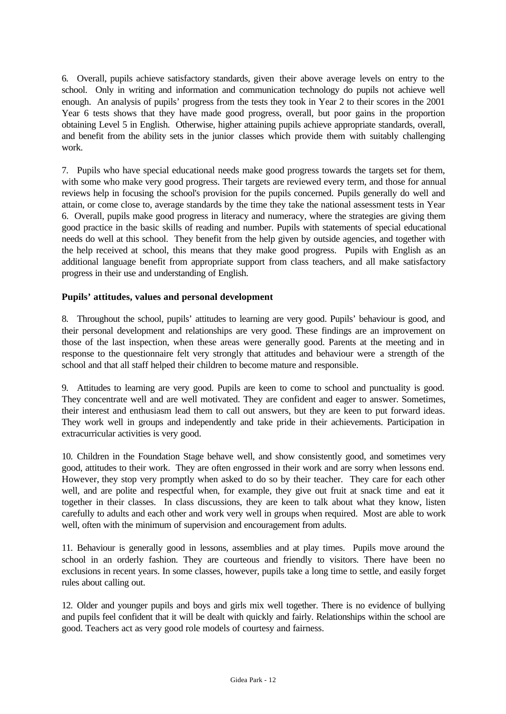6. Overall, pupils achieve satisfactory standards, given their above average levels on entry to the school. Only in writing and information and communication technology do pupils not achieve well enough. An analysis of pupils' progress from the tests they took in Year 2 to their scores in the 2001 Year 6 tests shows that they have made good progress, overall, but poor gains in the proportion obtaining Level 5 in English. Otherwise, higher attaining pupils achieve appropriate standards, overall, and benefit from the ability sets in the junior classes which provide them with suitably challenging work.

7. Pupils who have special educational needs make good progress towards the targets set for them, with some who make very good progress. Their targets are reviewed every term, and those for annual reviews help in focusing the school's provision for the pupils concerned. Pupils generally do well and attain, or come close to, average standards by the time they take the national assessment tests in Year 6. Overall, pupils make good progress in literacy and numeracy, where the strategies are giving them good practice in the basic skills of reading and number. Pupils with statements of special educational needs do well at this school. They benefit from the help given by outside agencies, and together with the help received at school, this means that they make good progress. Pupils with English as an additional language benefit from appropriate support from class teachers, and all make satisfactory progress in their use and understanding of English.

## **Pupils' attitudes, values and personal development**

8. Throughout the school, pupils' attitudes to learning are very good. Pupils' behaviour is good, and their personal development and relationships are very good. These findings are an improvement on those of the last inspection, when these areas were generally good. Parents at the meeting and in response to the questionnaire felt very strongly that attitudes and behaviour were a strength of the school and that all staff helped their children to become mature and responsible.

9. Attitudes to learning are very good. Pupils are keen to come to school and punctuality is good. They concentrate well and are well motivated. They are confident and eager to answer. Sometimes, their interest and enthusiasm lead them to call out answers, but they are keen to put forward ideas. They work well in groups and independently and take pride in their achievements. Participation in extracurricular activities is very good.

10. Children in the Foundation Stage behave well, and show consistently good, and sometimes very good, attitudes to their work. They are often engrossed in their work and are sorry when lessons end. However, they stop very promptly when asked to do so by their teacher. They care for each other well, and are polite and respectful when, for example, they give out fruit at snack time and eat it together in their classes. In class discussions, they are keen to talk about what they know, listen carefully to adults and each other and work very well in groups when required. Most are able to work well, often with the minimum of supervision and encouragement from adults.

11. Behaviour is generally good in lessons, assemblies and at play times. Pupils move around the school in an orderly fashion. They are courteous and friendly to visitors. There have been no exclusions in recent years. In some classes, however, pupils take a long time to settle, and easily forget rules about calling out.

12. Older and younger pupils and boys and girls mix well together. There is no evidence of bullying and pupils feel confident that it will be dealt with quickly and fairly. Relationships within the school are good. Teachers act as very good role models of courtesy and fairness.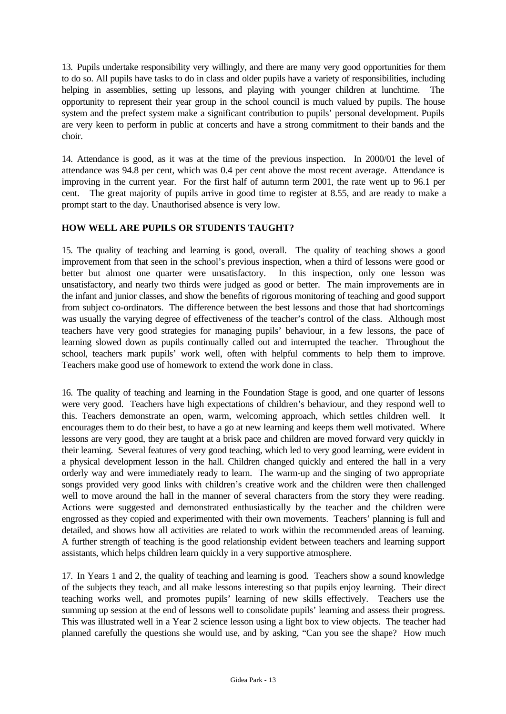13. Pupils undertake responsibility very willingly, and there are many very good opportunities for them to do so. All pupils have tasks to do in class and older pupils have a variety of responsibilities, including helping in assemblies, setting up lessons, and playing with younger children at lunchtime. opportunity to represent their year group in the school council is much valued by pupils. The house system and the prefect system make a significant contribution to pupils' personal development. Pupils are very keen to perform in public at concerts and have a strong commitment to their bands and the choir.

14. Attendance is good, as it was at the time of the previous inspection. In 2000/01 the level of attendance was 94.8 per cent, which was 0.4 per cent above the most recent average. Attendance is improving in the current year. For the first half of autumn term 2001, the rate went up to 96.1 per cent. The great majority of pupils arrive in good time to register at 8.55, and are ready to make a prompt start to the day. Unauthorised absence is very low.

## **HOW WELL ARE PUPILS OR STUDENTS TAUGHT?**

15. The quality of teaching and learning is good, overall. The quality of teaching shows a good improvement from that seen in the school's previous inspection, when a third of lessons were good or better but almost one quarter were unsatisfactory. In this inspection, only one lesson was unsatisfactory, and nearly two thirds were judged as good or better. The main improvements are in the infant and junior classes, and show the benefits of rigorous monitoring of teaching and good support from subject co-ordinators. The difference between the best lessons and those that had shortcomings was usually the varying degree of effectiveness of the teacher's control of the class. Although most teachers have very good strategies for managing pupils' behaviour, in a few lessons, the pace of learning slowed down as pupils continually called out and interrupted the teacher. Throughout the school, teachers mark pupils' work well, often with helpful comments to help them to improve. Teachers make good use of homework to extend the work done in class.

16. The quality of teaching and learning in the Foundation Stage is good, and one quarter of lessons were very good. Teachers have high expectations of children's behaviour, and they respond well to this. Teachers demonstrate an open, warm, welcoming approach, which settles children well. It encourages them to do their best, to have a go at new learning and keeps them well motivated. Where lessons are very good, they are taught at a brisk pace and children are moved forward very quickly in their learning. Several features of very good teaching, which led to very good learning, were evident in a physical development lesson in the hall. Children changed quickly and entered the hall in a very orderly way and were immediately ready to learn. The warm-up and the singing of two appropriate songs provided very good links with children's creative work and the children were then challenged well to move around the hall in the manner of several characters from the story they were reading. Actions were suggested and demonstrated enthusiastically by the teacher and the children were engrossed as they copied and experimented with their own movements. Teachers' planning is full and detailed, and shows how all activities are related to work within the recommended areas of learning. A further strength of teaching is the good relationship evident between teachers and learning support assistants, which helps children learn quickly in a very supportive atmosphere.

17. In Years 1 and 2, the quality of teaching and learning is good. Teachers show a sound knowledge of the subjects they teach, and all make lessons interesting so that pupils enjoy learning. Their direct teaching works well, and promotes pupils' learning of new skills effectively. Teachers use the summing up session at the end of lessons well to consolidate pupils' learning and assess their progress. This was illustrated well in a Year 2 science lesson using a light box to view objects. The teacher had planned carefully the questions she would use, and by asking, "Can you see the shape? How much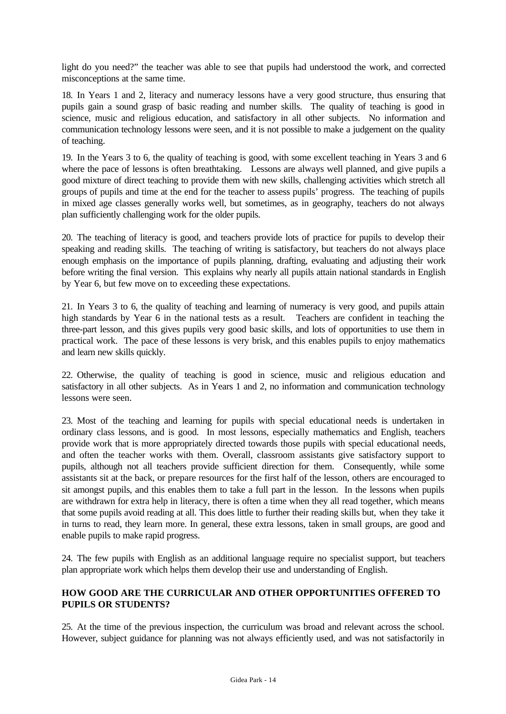light do you need?" the teacher was able to see that pupils had understood the work, and corrected misconceptions at the same time.

18. In Years 1 and 2, literacy and numeracy lessons have a very good structure, thus ensuring that pupils gain a sound grasp of basic reading and number skills. The quality of teaching is good in science, music and religious education, and satisfactory in all other subjects. No information and communication technology lessons were seen, and it is not possible to make a judgement on the quality of teaching.

19. In the Years 3 to 6, the quality of teaching is good, with some excellent teaching in Years 3 and 6 where the pace of lessons is often breathtaking. Lessons are always well planned, and give pupils a good mixture of direct teaching to provide them with new skills, challenging activities which stretch all groups of pupils and time at the end for the teacher to assess pupils' progress. The teaching of pupils in mixed age classes generally works well, but sometimes, as in geography, teachers do not always plan sufficiently challenging work for the older pupils.

20. The teaching of literacy is good, and teachers provide lots of practice for pupils to develop their speaking and reading skills. The teaching of writing is satisfactory, but teachers do not always place enough emphasis on the importance of pupils planning, drafting, evaluating and adjusting their work before writing the final version. This explains why nearly all pupils attain national standards in English by Year 6, but few move on to exceeding these expectations.

21. In Years 3 to 6, the quality of teaching and learning of numeracy is very good, and pupils attain high standards by Year 6 in the national tests as a result. Teachers are confident in teaching the three-part lesson, and this gives pupils very good basic skills, and lots of opportunities to use them in practical work. The pace of these lessons is very brisk, and this enables pupils to enjoy mathematics and learn new skills quickly.

22. Otherwise, the quality of teaching is good in science, music and religious education and satisfactory in all other subjects. As in Years 1 and 2, no information and communication technology lessons were seen.

23. Most of the teaching and learning for pupils with special educational needs is undertaken in ordinary class lessons, and is good. In most lessons, especially mathematics and English, teachers provide work that is more appropriately directed towards those pupils with special educational needs, and often the teacher works with them. Overall, classroom assistants give satisfactory support to pupils, although not all teachers provide sufficient direction for them. Consequently, while some assistants sit at the back, or prepare resources for the first half of the lesson, others are encouraged to sit amongst pupils, and this enables them to take a full part in the lesson. In the lessons when pupils are withdrawn for extra help in literacy, there is often a time when they all read together, which means that some pupils avoid reading at all. This does little to further their reading skills but, when they take it in turns to read, they learn more. In general, these extra lessons, taken in small groups, are good and enable pupils to make rapid progress.

24. The few pupils with English as an additional language require no specialist support, but teachers plan appropriate work which helps them develop their use and understanding of English.

#### **HOW GOOD ARE THE CURRICULAR AND OTHER OPPORTUNITIES OFFERED TO PUPILS OR STUDENTS?**

25. At the time of the previous inspection, the curriculum was broad and relevant across the school. However, subject guidance for planning was not always efficiently used, and was not satisfactorily in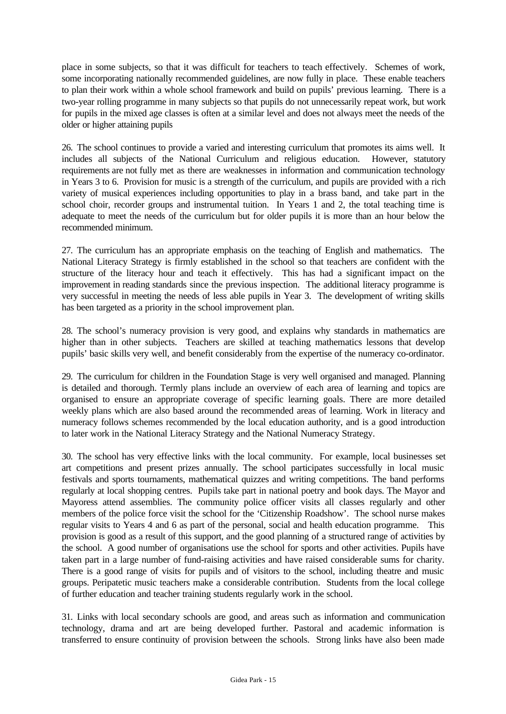place in some subjects, so that it was difficult for teachers to teach effectively. Schemes of work, some incorporating nationally recommended guidelines, are now fully in place. These enable teachers to plan their work within a whole school framework and build on pupils' previous learning. There is a two-year rolling programme in many subjects so that pupils do not unnecessarily repeat work, but work for pupils in the mixed age classes is often at a similar level and does not always meet the needs of the older or higher attaining pupils

26. The school continues to provide a varied and interesting curriculum that promotes its aims well. It includes all subjects of the National Curriculum and religious education. However, statutory requirements are not fully met as there are weaknesses in information and communication technology in Years 3 to 6. Provision for music is a strength of the curriculum, and pupils are provided with a rich variety of musical experiences including opportunities to play in a brass band, and take part in the school choir, recorder groups and instrumental tuition. In Years 1 and 2, the total teaching time is adequate to meet the needs of the curriculum but for older pupils it is more than an hour below the recommended minimum.

27. The curriculum has an appropriate emphasis on the teaching of English and mathematics. The National Literacy Strategy is firmly established in the school so that teachers are confident with the structure of the literacy hour and teach it effectively. This has had a significant impact on the improvement in reading standards since the previous inspection. The additional literacy programme is very successful in meeting the needs of less able pupils in Year 3. The development of writing skills has been targeted as a priority in the school improvement plan.

28. The school's numeracy provision is very good, and explains why standards in mathematics are higher than in other subjects. Teachers are skilled at teaching mathematics lessons that develop pupils' basic skills very well, and benefit considerably from the expertise of the numeracy co-ordinator.

29. The curriculum for children in the Foundation Stage is very well organised and managed. Planning is detailed and thorough. Termly plans include an overview of each area of learning and topics are organised to ensure an appropriate coverage of specific learning goals. There are more detailed weekly plans which are also based around the recommended areas of learning. Work in literacy and numeracy follows schemes recommended by the local education authority, and is a good introduction to later work in the National Literacy Strategy and the National Numeracy Strategy.

30. The school has very effective links with the local community. For example, local businesses set art competitions and present prizes annually. The school participates successfully in local music festivals and sports tournaments, mathematical quizzes and writing competitions. The band performs regularly at local shopping centres. Pupils take part in national poetry and book days. The Mayor and Mayoress attend assemblies. The community police officer visits all classes regularly and other members of the police force visit the school for the 'Citizenship Roadshow'. The school nurse makes regular visits to Years 4 and 6 as part of the personal, social and health education programme. This provision is good as a result of this support, and the good planning of a structured range of activities by the school. A good number of organisations use the school for sports and other activities. Pupils have taken part in a large number of fund-raising activities and have raised considerable sums for charity. There is a good range of visits for pupils and of visitors to the school, including theatre and music groups. Peripatetic music teachers make a considerable contribution. Students from the local college of further education and teacher training students regularly work in the school.

31. Links with local secondary schools are good, and areas such as information and communication technology, drama and art are being developed further. Pastoral and academic information is transferred to ensure continuity of provision between the schools. Strong links have also been made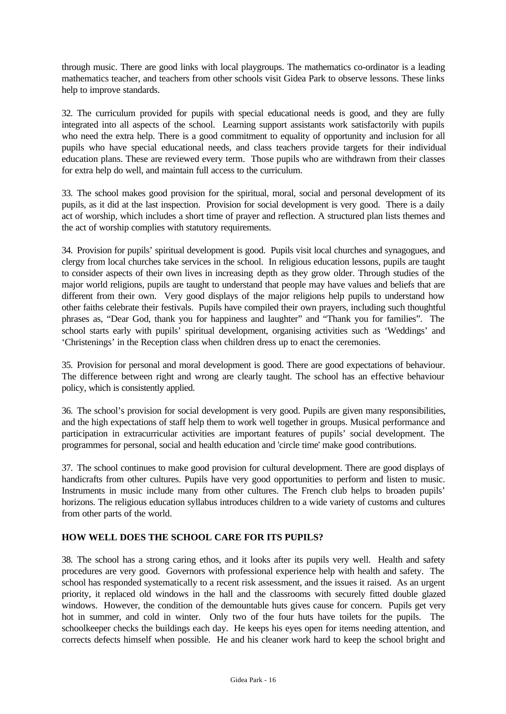through music. There are good links with local playgroups. The mathematics co-ordinator is a leading mathematics teacher, and teachers from other schools visit Gidea Park to observe lessons. These links help to improve standards.

32. The curriculum provided for pupils with special educational needs is good, and they are fully integrated into all aspects of the school. Learning support assistants work satisfactorily with pupils who need the extra help. There is a good commitment to equality of opportunity and inclusion for all pupils who have special educational needs, and class teachers provide targets for their individual education plans. These are reviewed every term. Those pupils who are withdrawn from their classes for extra help do well, and maintain full access to the curriculum.

33. The school makes good provision for the spiritual, moral, social and personal development of its pupils, as it did at the last inspection. Provision for social development is very good. There is a daily act of worship, which includes a short time of prayer and reflection. A structured plan lists themes and the act of worship complies with statutory requirements.

34. Provision for pupils' spiritual development is good. Pupils visit local churches and synagogues, and clergy from local churches take services in the school. In religious education lessons, pupils are taught to consider aspects of their own lives in increasing depth as they grow older. Through studies of the major world religions, pupils are taught to understand that people may have values and beliefs that are different from their own. Very good displays of the major religions help pupils to understand how other faiths celebrate their festivals. Pupils have compiled their own prayers, including such thoughtful phrases as, "Dear God, thank you for happiness and laughter" and "Thank you for families". The school starts early with pupils' spiritual development, organising activities such as 'Weddings' and 'Christenings' in the Reception class when children dress up to enact the ceremonies.

35. Provision for personal and moral development is good. There are good expectations of behaviour. The difference between right and wrong are clearly taught. The school has an effective behaviour policy, which is consistently applied.

36. The school's provision for social development is very good. Pupils are given many responsibilities, and the high expectations of staff help them to work well together in groups. Musical performance and participation in extracurricular activities are important features of pupils' social development. The programmes for personal, social and health education and 'circle time' make good contributions.

37. The school continues to make good provision for cultural development. There are good displays of handicrafts from other cultures. Pupils have very good opportunities to perform and listen to music. Instruments in music include many from other cultures. The French club helps to broaden pupils' horizons. The religious education syllabus introduces children to a wide variety of customs and cultures from other parts of the world.

## **HOW WELL DOES THE SCHOOL CARE FOR ITS PUPILS?**

38. The school has a strong caring ethos, and it looks after its pupils very well. Health and safety procedures are very good. Governors with professional experience help with health and safety. The school has responded systematically to a recent risk assessment, and the issues it raised. As an urgent priority, it replaced old windows in the hall and the classrooms with securely fitted double glazed windows. However, the condition of the demountable huts gives cause for concern. Pupils get very hot in summer, and cold in winter. Only two of the four huts have toilets for the pupils. The schoolkeeper checks the buildings each day. He keeps his eyes open for items needing attention, and corrects defects himself when possible. He and his cleaner work hard to keep the school bright and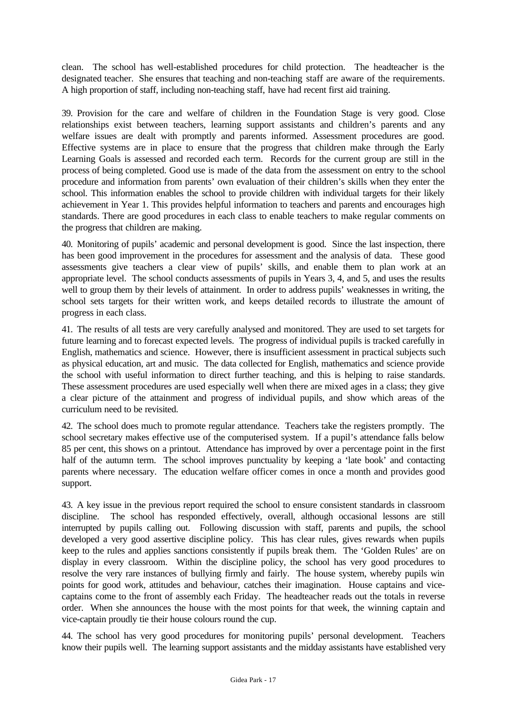clean. The school has well-established procedures for child protection. The headteacher is the designated teacher. She ensures that teaching and non-teaching staff are aware of the requirements. A high proportion of staff, including non-teaching staff, have had recent first aid training.

39. Provision for the care and welfare of children in the Foundation Stage is very good. Close relationships exist between teachers, learning support assistants and children's parents and any welfare issues are dealt with promptly and parents informed. Assessment procedures are good. Effective systems are in place to ensure that the progress that children make through the Early Learning Goals is assessed and recorded each term. Records for the current group are still in the process of being completed. Good use is made of the data from the assessment on entry to the school procedure and information from parents' own evaluation of their children's skills when they enter the school. This information enables the school to provide children with individual targets for their likely achievement in Year 1. This provides helpful information to teachers and parents and encourages high standards. There are good procedures in each class to enable teachers to make regular comments on the progress that children are making.

40. Monitoring of pupils' academic and personal development is good. Since the last inspection, there has been good improvement in the procedures for assessment and the analysis of data. These good assessments give teachers a clear view of pupils' skills, and enable them to plan work at an appropriate level. The school conducts assessments of pupils in Years 3, 4, and 5, and uses the results well to group them by their levels of attainment. In order to address pupils' weaknesses in writing, the school sets targets for their written work, and keeps detailed records to illustrate the amount of progress in each class.

41. The results of all tests are very carefully analysed and monitored. They are used to set targets for future learning and to forecast expected levels. The progress of individual pupils is tracked carefully in English, mathematics and science. However, there is insufficient assessment in practical subjects such as physical education, art and music. The data collected for English, mathematics and science provide the school with useful information to direct further teaching, and this is helping to raise standards. These assessment procedures are used especially well when there are mixed ages in a class; they give a clear picture of the attainment and progress of individual pupils, and show which areas of the curriculum need to be revisited.

42. The school does much to promote regular attendance. Teachers take the registers promptly. The school secretary makes effective use of the computerised system. If a pupil's attendance falls below 85 per cent, this shows on a printout. Attendance has improved by over a percentage point in the first half of the autumn term. The school improves punctuality by keeping a 'late book' and contacting parents where necessary. The education welfare officer comes in once a month and provides good support.

43. A key issue in the previous report required the school to ensure consistent standards in classroom discipline. The school has responded effectively, overall, although occasional lessons are still interrupted by pupils calling out. Following discussion with staff, parents and pupils, the school developed a very good assertive discipline policy. This has clear rules, gives rewards when pupils keep to the rules and applies sanctions consistently if pupils break them. The 'Golden Rules' are on display in every classroom. Within the discipline policy, the school has very good procedures to resolve the very rare instances of bullying firmly and fairly. The house system, whereby pupils win points for good work, attitudes and behaviour, catches their imagination. House captains and vicecaptains come to the front of assembly each Friday. The headteacher reads out the totals in reverse order. When she announces the house with the most points for that week, the winning captain and vice-captain proudly tie their house colours round the cup.

44. The school has very good procedures for monitoring pupils' personal development. Teachers know their pupils well. The learning support assistants and the midday assistants have established very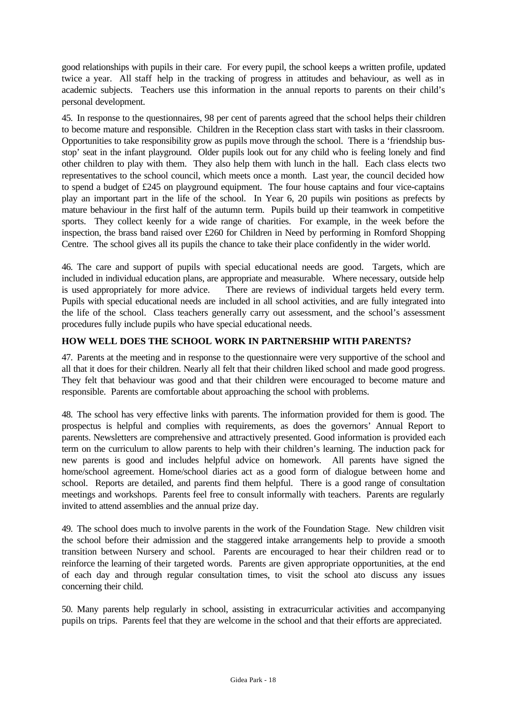good relationships with pupils in their care. For every pupil, the school keeps a written profile, updated twice a year. All staff help in the tracking of progress in attitudes and behaviour, as well as in academic subjects. Teachers use this information in the annual reports to parents on their child's personal development.

45. In response to the questionnaires, 98 per cent of parents agreed that the school helps their children to become mature and responsible. Children in the Reception class start with tasks in their classroom. Opportunities to take responsibility grow as pupils move through the school. There is a 'friendship busstop' seat in the infant playground. Older pupils look out for any child who is feeling lonely and find other children to play with them. They also help them with lunch in the hall. Each class elects two representatives to the school council, which meets once a month. Last year, the council decided how to spend a budget of £245 on playground equipment. The four house captains and four vice-captains play an important part in the life of the school. In Year 6, 20 pupils win positions as prefects by mature behaviour in the first half of the autumn term. Pupils build up their teamwork in competitive sports. They collect keenly for a wide range of charities. For example, in the week before the inspection, the brass band raised over £260 for Children in Need by performing in Romford Shopping Centre. The school gives all its pupils the chance to take their place confidently in the wider world.

46. The care and support of pupils with special educational needs are good. Targets, which are included in individual education plans, are appropriate and measurable. Where necessary, outside help is used appropriately for more advice. There are reviews of individual targets held every term. Pupils with special educational needs are included in all school activities, and are fully integrated into the life of the school. Class teachers generally carry out assessment, and the school's assessment procedures fully include pupils who have special educational needs.

# **HOW WELL DOES THE SCHOOL WORK IN PARTNERSHIP WITH PARENTS?**

47. Parents at the meeting and in response to the questionnaire were very supportive of the school and all that it does for their children. Nearly all felt that their children liked school and made good progress. They felt that behaviour was good and that their children were encouraged to become mature and responsible. Parents are comfortable about approaching the school with problems.

48. The school has very effective links with parents. The information provided for them is good. The prospectus is helpful and complies with requirements, as does the governors' Annual Report to parents. Newsletters are comprehensive and attractively presented. Good information is provided each term on the curriculum to allow parents to help with their children's learning. The induction pack for new parents is good and includes helpful advice on homework. All parents have signed the home/school agreement. Home/school diaries act as a good form of dialogue between home and school. Reports are detailed, and parents find them helpful. There is a good range of consultation meetings and workshops. Parents feel free to consult informally with teachers. Parents are regularly invited to attend assemblies and the annual prize day.

49. The school does much to involve parents in the work of the Foundation Stage. New children visit the school before their admission and the staggered intake arrangements help to provide a smooth transition between Nursery and school. Parents are encouraged to hear their children read or to reinforce the learning of their targeted words. Parents are given appropriate opportunities, at the end of each day and through regular consultation times, to visit the school ato discuss any issues concerning their child.

50. Many parents help regularly in school, assisting in extracurricular activities and accompanying pupils on trips. Parents feel that they are welcome in the school and that their efforts are appreciated.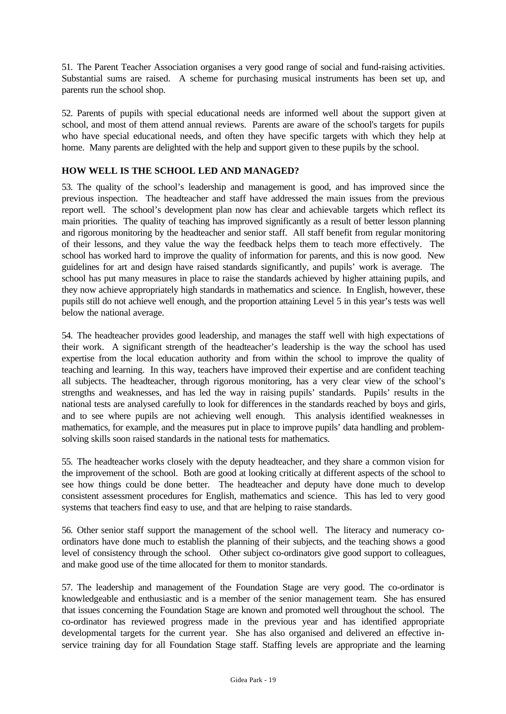51. The Parent Teacher Association organises a very good range of social and fund-raising activities. Substantial sums are raised. A scheme for purchasing musical instruments has been set up, and parents run the school shop.

52. Parents of pupils with special educational needs are informed well about the support given at school, and most of them attend annual reviews. Parents are aware of the school's targets for pupils who have special educational needs, and often they have specific targets with which they help at home. Many parents are delighted with the help and support given to these pupils by the school.

#### **HOW WELL IS THE SCHOOL LED AND MANAGED?**

53. The quality of the school's leadership and management is good, and has improved since the previous inspection. The headteacher and staff have addressed the main issues from the previous report well. The school's development plan now has clear and achievable targets which reflect its main priorities. The quality of teaching has improved significantly as a result of better lesson planning and rigorous monitoring by the headteacher and senior staff. All staff benefit from regular monitoring of their lessons, and they value the way the feedback helps them to teach more effectively. The school has worked hard to improve the quality of information for parents, and this is now good. New guidelines for art and design have raised standards significantly, and pupils' work is average. The school has put many measures in place to raise the standards achieved by higher attaining pupils, and they now achieve appropriately high standards in mathematics and science. In English, however, these pupils still do not achieve well enough, and the proportion attaining Level 5 in this year's tests was well below the national average.

54. The headteacher provides good leadership, and manages the staff well with high expectations of their work. A significant strength of the headteacher's leadership is the way the school has used expertise from the local education authority and from within the school to improve the quality of teaching and learning. In this way, teachers have improved their expertise and are confident teaching all subjects. The headteacher, through rigorous monitoring, has a very clear view of the school's strengths and weaknesses, and has led the way in raising pupils' standards. Pupils' results in the national tests are analysed carefully to look for differences in the standards reached by boys and girls, and to see where pupils are not achieving well enough. This analysis identified weaknesses in mathematics, for example, and the measures put in place to improve pupils' data handling and problemsolving skills soon raised standards in the national tests for mathematics.

55. The headteacher works closely with the deputy headteacher, and they share a common vision for the improvement of the school. Both are good at looking critically at different aspects of the school to see how things could be done better. The headteacher and deputy have done much to develop consistent assessment procedures for English, mathematics and science. This has led to very good systems that teachers find easy to use, and that are helping to raise standards.

56. Other senior staff support the management of the school well. The literacy and numeracy coordinators have done much to establish the planning of their subjects, and the teaching shows a good level of consistency through the school. Other subject co-ordinators give good support to colleagues, and make good use of the time allocated for them to monitor standards.

57. The leadership and management of the Foundation Stage are very good. The co-ordinator is knowledgeable and enthusiastic and is a member of the senior management team. She has ensured that issues concerning the Foundation Stage are known and promoted well throughout the school. The co-ordinator has reviewed progress made in the previous year and has identified appropriate developmental targets for the current year. She has also organised and delivered an effective inservice training day for all Foundation Stage staff. Staffing levels are appropriate and the learning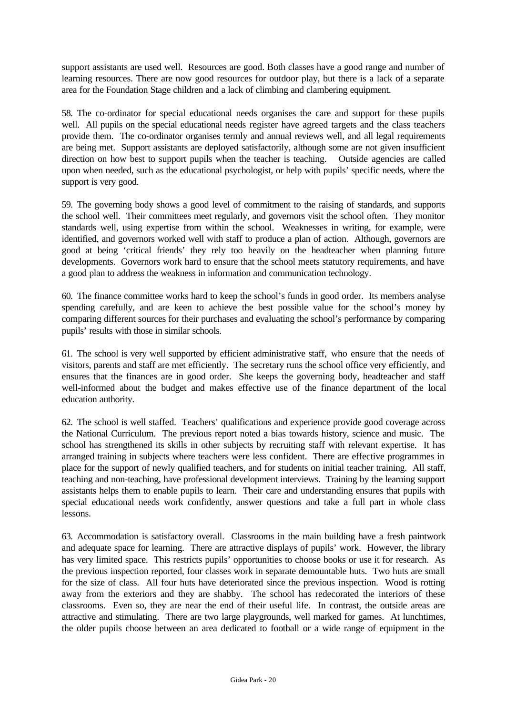support assistants are used well. Resources are good. Both classes have a good range and number of learning resources. There are now good resources for outdoor play, but there is a lack of a separate area for the Foundation Stage children and a lack of climbing and clambering equipment.

58. The co-ordinator for special educational needs organises the care and support for these pupils well. All pupils on the special educational needs register have agreed targets and the class teachers provide them. The co-ordinator organises termly and annual reviews well, and all legal requirements are being met. Support assistants are deployed satisfactorily, although some are not given insufficient direction on how best to support pupils when the teacher is teaching. Outside agencies are called upon when needed, such as the educational psychologist, or help with pupils' specific needs, where the support is very good.

59. The governing body shows a good level of commitment to the raising of standards, and supports the school well. Their committees meet regularly, and governors visit the school often. They monitor standards well, using expertise from within the school. Weaknesses in writing, for example, were identified, and governors worked well with staff to produce a plan of action. Although, governors are good at being 'critical friends' they rely too heavily on the headteacher when planning future developments. Governors work hard to ensure that the school meets statutory requirements, and have a good plan to address the weakness in information and communication technology.

60. The finance committee works hard to keep the school's funds in good order. Its members analyse spending carefully, and are keen to achieve the best possible value for the school's money by comparing different sources for their purchases and evaluating the school's performance by comparing pupils' results with those in similar schools.

61. The school is very well supported by efficient administrative staff, who ensure that the needs of visitors, parents and staff are met efficiently. The secretary runs the school office very efficiently, and ensures that the finances are in good order. She keeps the governing body, headteacher and staff well-informed about the budget and makes effective use of the finance department of the local education authority.

62. The school is well staffed. Teachers' qualifications and experience provide good coverage across the National Curriculum. The previous report noted a bias towards history, science and music. The school has strengthened its skills in other subjects by recruiting staff with relevant expertise. It has arranged training in subjects where teachers were less confident. There are effective programmes in place for the support of newly qualified teachers, and for students on initial teacher training. All staff, teaching and non-teaching, have professional development interviews. Training by the learning support assistants helps them to enable pupils to learn. Their care and understanding ensures that pupils with special educational needs work confidently, answer questions and take a full part in whole class lessons.

63. Accommodation is satisfactory overall. Classrooms in the main building have a fresh paintwork and adequate space for learning. There are attractive displays of pupils' work. However, the library has very limited space. This restricts pupils' opportunities to choose books or use it for research. As the previous inspection reported, four classes work in separate demountable huts. Two huts are small for the size of class. All four huts have deteriorated since the previous inspection. Wood is rotting away from the exteriors and they are shabby. The school has redecorated the interiors of these classrooms. Even so, they are near the end of their useful life. In contrast, the outside areas are attractive and stimulating. There are two large playgrounds, well marked for games. At lunchtimes, the older pupils choose between an area dedicated to football or a wide range of equipment in the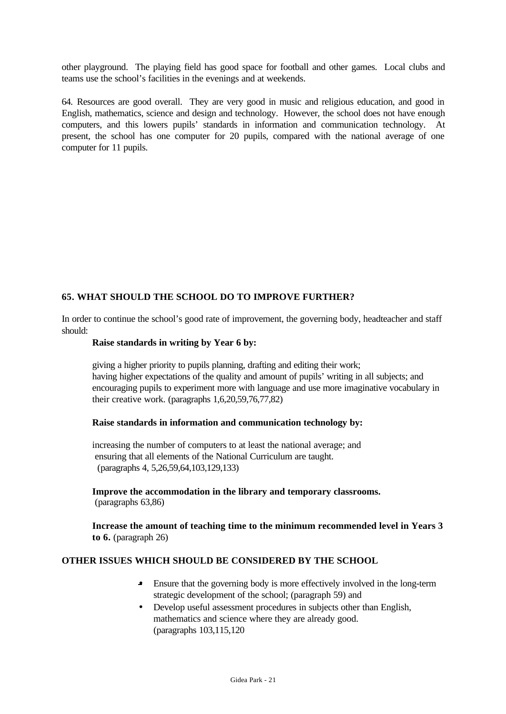other playground. The playing field has good space for football and other games. Local clubs and teams use the school's facilities in the evenings and at weekends.

64. Resources are good overall. They are very good in music and religious education, and good in English, mathematics, science and design and technology. However, the school does not have enough computers, and this lowers pupils' standards in information and communication technology. At present, the school has one computer for 20 pupils, compared with the national average of one computer for 11 pupils.

## **65. WHAT SHOULD THE SCHOOL DO TO IMPROVE FURTHER?**

In order to continue the school's good rate of improvement, the governing body, headteacher and staff should:

#### **Raise standards in writing by Year 6 by:**

giving a higher priority to pupils planning, drafting and editing their work; having higher expectations of the quality and amount of pupils' writing in all subjects; and encouraging pupils to experiment more with language and use more imaginative vocabulary in their creative work. (paragraphs 1,6,20,59,76,77,82)

#### **Raise standards in information and communication technology by:**

increasing the number of computers to at least the national average; and ensuring that all elements of the National Curriculum are taught. (paragraphs 4, 5,26,59,64,103,129,133)

**Improve the accommodation in the library and temporary classrooms.** (paragraphs 63,86)

**Increase the amount of teaching time to the minimum recommended level in Years 3 to 6.** (paragraph 26)

#### **OTHER ISSUES WHICH SHOULD BE CONSIDERED BY THE SCHOOL**

- Ensure that the governing body is more effectively involved in the long-term strategic development of the school; (paragraph 59) and
- Develop useful assessment procedures in subjects other than English, mathematics and science where they are already good. (paragraphs 103,115,120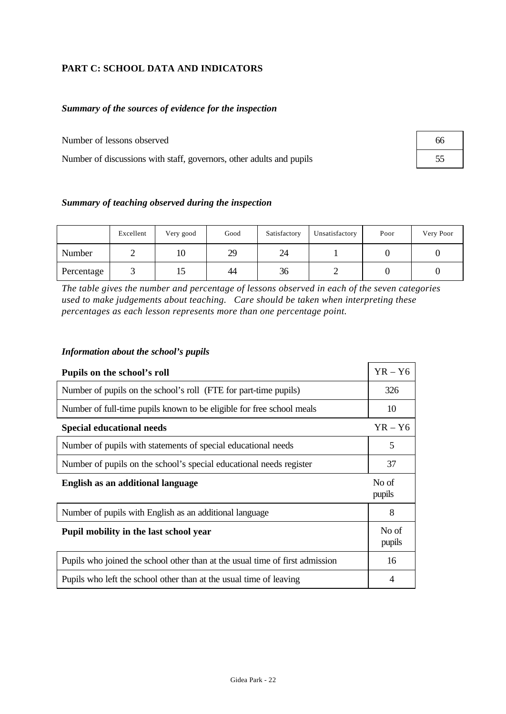# **PART C: SCHOOL DATA AND INDICATORS**

## *Summary of the sources of evidence for the inspection*

Number of lessons observed

Number of discussions with staff, governors, other adults and pupils

| 66 |  |
|----|--|
| 55 |  |

#### *Summary of teaching observed during the inspection*

|            | Excellent | Very good | Good | Satisfactory | Unsatisfactory | Poor | Very Poor |
|------------|-----------|-----------|------|--------------|----------------|------|-----------|
| Number     |           | ΙV        | 29   | 24           |                |      |           |
| Percentage |           | ⊥J        | 44   | 36           |                |      |           |

*The table gives the number and percentage of lessons observed in each of the seven categories used to make judgements about teaching. Care should be taken when interpreting these percentages as each lesson represents more than one percentage point.*

#### *Information about the school's pupils*

| Pupils on the school's roll                                                  |                 |  |  |  |  |
|------------------------------------------------------------------------------|-----------------|--|--|--|--|
| Number of pupils on the school's roll (FTE for part-time pupils)             |                 |  |  |  |  |
| Number of full-time pupils known to be eligible for free school meals        | 10              |  |  |  |  |
| <b>Special educational needs</b>                                             | $YR - Y6$       |  |  |  |  |
| Number of pupils with statements of special educational needs                | 5               |  |  |  |  |
| Number of pupils on the school's special educational needs register          | 37              |  |  |  |  |
| English as an additional language                                            |                 |  |  |  |  |
| Number of pupils with English as an additional language                      | 8               |  |  |  |  |
| Pupil mobility in the last school year                                       | No of<br>pupils |  |  |  |  |
|                                                                              |                 |  |  |  |  |
| Pupils who joined the school other than at the usual time of first admission | 16              |  |  |  |  |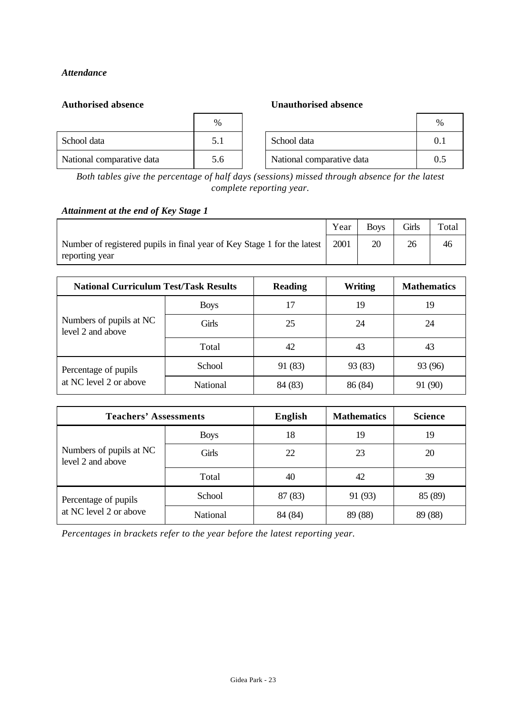## *Attendance*

#### **Authorised absence Unauthorised absence**

|                           | %   |                           | $\%$ |
|---------------------------|-----|---------------------------|------|
| School data               | 5.1 | School data               | 0.1  |
| National comparative data | 5.6 | National comparative data | 0.5  |

*Both tables give the percentage of half days (sessions) missed through absence for the latest complete reporting year.*

#### *Attainment at the end of Key Stage 1*

|                                                                                           | Year | Boys | Girls | Total |
|-------------------------------------------------------------------------------------------|------|------|-------|-------|
| Number of registered pupils in final year of Key Stage 1 for the latest<br>reporting year | 2001 | 20   |       | 46    |

| <b>National Curriculum Test/Task Results</b> |             | <b>Reading</b> | <b>Writing</b> | <b>Mathematics</b> |
|----------------------------------------------|-------------|----------------|----------------|--------------------|
|                                              | <b>Boys</b> | 17             | 19             | 19                 |
| Numbers of pupils at NC<br>level 2 and above | Girls       | 25             | 24             | 24                 |
|                                              | Total       | 42             | 43             | 43                 |
| Percentage of pupils                         | School      | 91 (83)        | 93 (83)        | 93 (96)            |
| at NC level 2 or above                       | National    | 84 (83)        | 86 (84)        | 91 (90)            |

| <b>Teachers' Assessments</b>                 |             | <b>English</b> | <b>Mathematics</b> | <b>Science</b> |
|----------------------------------------------|-------------|----------------|--------------------|----------------|
|                                              | <b>Boys</b> | 18             | 19                 | 19             |
| Numbers of pupils at NC<br>level 2 and above | Girls       | 22             | 23                 | 20             |
|                                              | Total       | 40             | 42                 | 39             |
| Percentage of pupils                         | School      | 87 (83)        | 91 (93)            | 85 (89)        |
| at NC level 2 or above                       | National    | 84 (84)        | 89 (88)            | 89 (88)        |

*Percentages in brackets refer to the year before the latest reporting year.*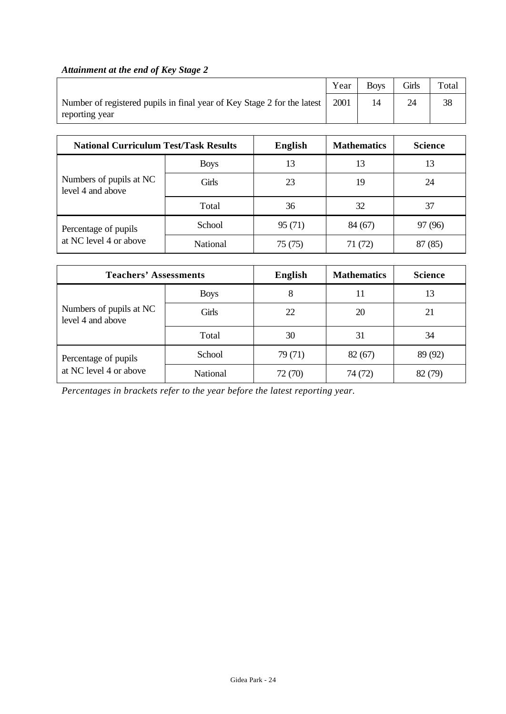# *Attainment at the end of Key Stage 2*

|                                                                                                    | Year | <b>Boys</b> | Girls | Total |
|----------------------------------------------------------------------------------------------------|------|-------------|-------|-------|
| Number of registered pupils in final year of Key Stage 2 for the latest   2001  <br>reporting year |      |             |       | 38    |

| <b>National Curriculum Test/Task Results</b> |                 | <b>English</b> | <b>Mathematics</b> | <b>Science</b> |
|----------------------------------------------|-----------------|----------------|--------------------|----------------|
|                                              | <b>Boys</b>     | 13             | 13                 | 13             |
| Numbers of pupils at NC<br>level 4 and above | Girls           | 23             | 19                 | 24             |
|                                              | Total           | 36             | 32                 | 37             |
| Percentage of pupils                         | School          | 95 (71)        | 84 (67)            | 97 (96)        |
| at NC level 4 or above                       | <b>National</b> | 75 (75)        | 71 (72)            | 87 (85)        |

| <b>Teachers' Assessments</b>                 |             | <b>English</b> | <b>Mathematics</b> | <b>Science</b> |
|----------------------------------------------|-------------|----------------|--------------------|----------------|
|                                              | <b>Boys</b> | 8              |                    | 13             |
| Numbers of pupils at NC<br>level 4 and above | Girls       | 22             | 20                 | 21             |
|                                              | Total       | 30             | 31                 | 34             |
| Percentage of pupils                         | School      | 79(71)         | 82(67)             | 89 (92)        |
| at NC level 4 or above                       | National    | 72 (70)        | 74 (72)            | 82 (79)        |

*Percentages in brackets refer to the year before the latest reporting year.*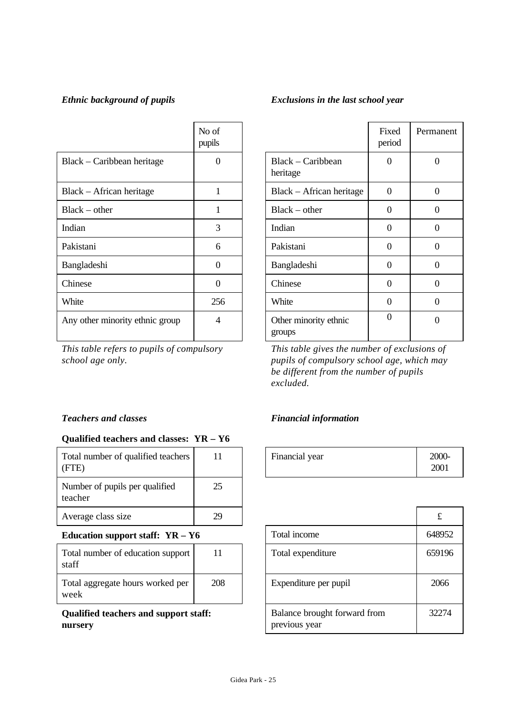# *Ethnic background of pupils Exclusions in the last school year*

|                                 | No of<br>pupils |                                 | Fixed<br>period | Perma            |
|---------------------------------|-----------------|---------------------------------|-----------------|------------------|
| Black – Caribbean heritage      | $\Omega$        | Black - Caribbean<br>heritage   | $\Omega$        | $\boldsymbol{0}$ |
| Black – African heritage        | 1               | Black – African heritage        | $\Omega$        | $\overline{0}$   |
| $Black - other$                 | 1               | $Black - other$                 | $\Omega$        | $\overline{0}$   |
| Indian                          | 3               | Indian                          | $\Omega$        | $\theta$         |
| Pakistani                       | 6               | Pakistani                       | $\Omega$        | $\overline{0}$   |
| Bangladeshi                     | $\overline{0}$  | Bangladeshi                     | $\Omega$        | $\boldsymbol{0}$ |
| Chinese                         | $\overline{0}$  | Chinese                         | $\Omega$        | $\overline{0}$   |
| White                           | 256             | White                           | $\Omega$        | $\overline{0}$   |
| Any other minority ethnic group | $\overline{4}$  | Other minority ethnic<br>groups | $\Omega$        | $\theta$         |

*This table refers to pupils of compulsory school age only.*

# **Qualified teachers and classes: YR – Y6**

| Total number of qualified teachers<br>(FTE) | 11 | Financial year | 200<br>200 |
|---------------------------------------------|----|----------------|------------|
| Number of pupils per qualified<br>teacher   | 25 |                |            |
| Average class size                          | 29 |                | £          |

## **Education support staff: YR - Y6**

| Total number of education support<br>staff | 11  |
|--------------------------------------------|-----|
| Total aggregate hours worked per<br>week   | 208 |

**Qualified teachers and support staff: nursery**

# Fixed period Permanent Black – Caribbean heritage  $0 \qquad \qquad 0$ Black – African heritage  $\begin{vmatrix} 0 & 1 \\ 0 & 0 \end{vmatrix}$  0  $Black - other$  0 0 0 Bangladeshi 0 0 0

*This table gives the number of exclusions of pupils of compulsory school age, which may be different from the number of pupils excluded.*

# *Teachers and classes Financial information*

| 111 | Financial year | 2000- |
|-----|----------------|-------|
|     |                | V) 1  |

| 29  |                                               | £      |
|-----|-----------------------------------------------|--------|
|     | Total income                                  | 648952 |
| 11  | Total expenditure                             | 659196 |
| 208 | Expenditure per pupil                         | 2066   |
|     | Balance brought forward from<br>previous year | 32274  |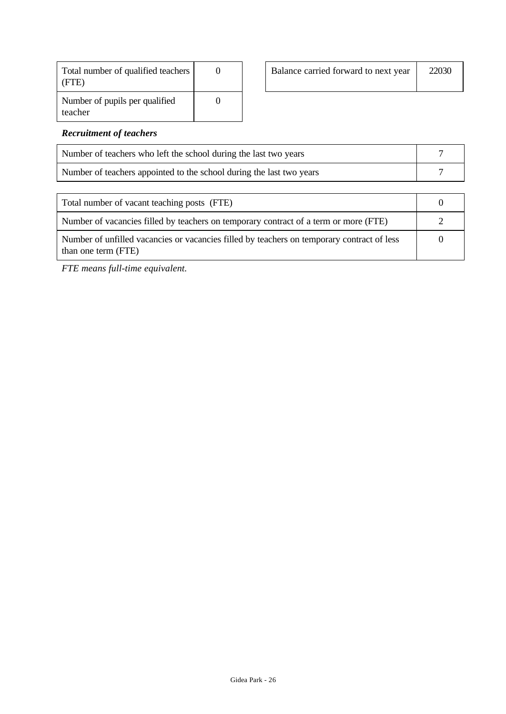| Total number of qualified teachers<br>(FTE) |  |
|---------------------------------------------|--|
| Number of pupils per qualified<br>teacher   |  |

|  | Balance carried forward to next year | 22030 |
|--|--------------------------------------|-------|
|  |                                      |       |

#### *Recruitment of teachers*

| Number of teachers who left the school during the last two years     |  |
|----------------------------------------------------------------------|--|
| Number of teachers appointed to the school during the last two years |  |
|                                                                      |  |

| Total number of vacant teaching posts (FTE)                                                                       |  |
|-------------------------------------------------------------------------------------------------------------------|--|
| Number of vacancies filled by teachers on temporary contract of a term or more (FTE)                              |  |
| Number of unfilled vacancies or vacancies filled by teachers on temporary contract of less<br>than one term (FTE) |  |

*FTE means full-time equivalent.*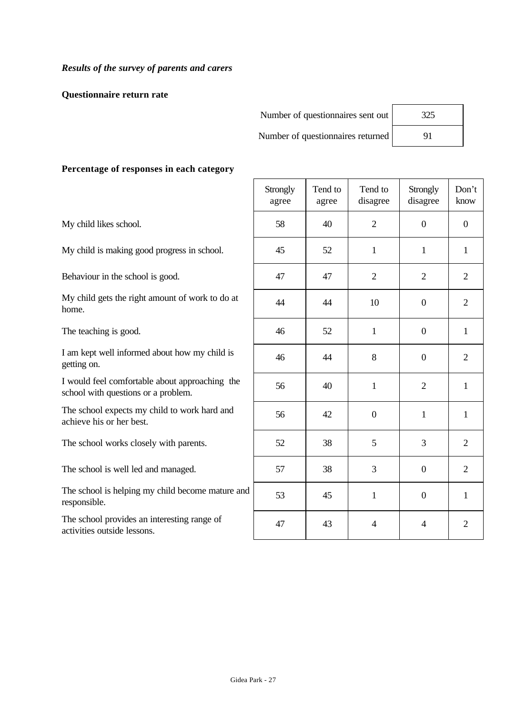**Questionnaire return rate**

| Number of questionnaires sent out | 325 |
|-----------------------------------|-----|
| Number of questionnaires returned | 91  |

| 325 |  |
|-----|--|
| 91  |  |

# **Percentage of responses in each category**

My child likes school.

My child is making good progress in school.

Behaviour in the school is good.

My child gets the right amount of work to do at home.

The teaching is good.

I am kept well informed about how my child is getting on.

I would feel comfortable about approaching the school with questions or a problem.

The school expects my child to work hard and achieve his or her best.

The school works closely with parents.

The school is well led and managed.

The school is helping my child become mature and responsible.

The school provides an interesting range of activities outside lessons.

|              | Strongly<br>agree | Tend to<br>agree | Tend to<br>disagree | Strongly<br>disagree     | Don't<br>know    |
|--------------|-------------------|------------------|---------------------|--------------------------|------------------|
|              | 58                | 40               | $\overline{2}$      | $\boldsymbol{0}$         | $\boldsymbol{0}$ |
|              | 45                | 52               | $\mathbf{1}$        | $\mathbf{1}$             | $\mathbf{1}$     |
|              | $47\,$            | 47               | $\overline{2}$      | $\mathbf{2}$             | $\overline{2}$   |
|              | 44                | 44               | $10\,$              | $\boldsymbol{0}$         | $\sqrt{2}$       |
|              | 46                | 52               | $\mathbf{1}$        | $\boldsymbol{0}$         | $\mathbf 1$      |
|              | 46                | 44               | 8                   | $\boldsymbol{0}$         | $\overline{2}$   |
|              | 56                | 40               | $\mathbf{1}$        | $\sqrt{2}$               | $\mathbf 1$      |
|              | 56                | 42               | $\boldsymbol{0}$    | $\mathbf{1}$             | $\mathbf{1}$     |
|              | 52                | 38               | 5                   | 3                        | $\mathbf{2}$     |
|              | 57                | 38               | 3                   | $\boldsymbol{0}$         | $\sqrt{2}$       |
| $\mathbf{l}$ | 53                | 45               | $\mathbf{1}$        | $\boldsymbol{0}$         | $\mathbf{1}$     |
|              | 47                | 43               | $\overline{4}$      | $\overline{\mathcal{L}}$ | $\overline{c}$   |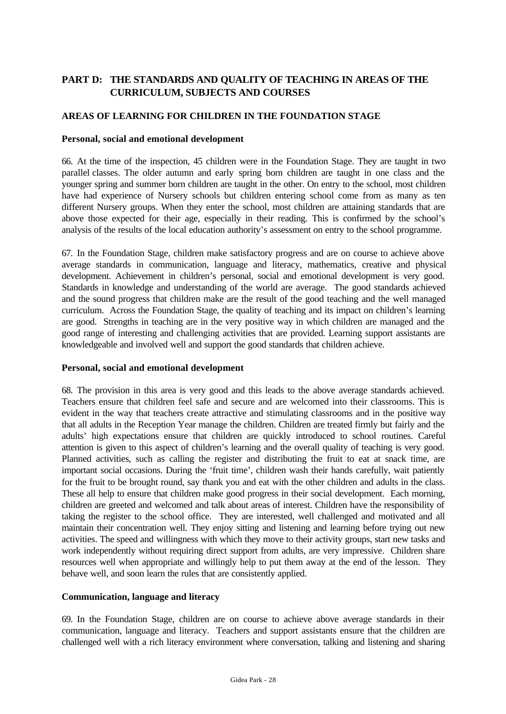# **PART D: THE STANDARDS AND QUALITY OF TEACHING IN AREAS OF THE CURRICULUM, SUBJECTS AND COURSES**

## **AREAS OF LEARNING FOR CHILDREN IN THE FOUNDATION STAGE**

#### **Personal, social and emotional development**

66. At the time of the inspection, 45 children were in the Foundation Stage. They are taught in two parallel classes. The older autumn and early spring born children are taught in one class and the younger spring and summer born children are taught in the other. On entry to the school, most children have had experience of Nursery schools but children entering school come from as many as ten different Nursery groups. When they enter the school, most children are attaining standards that are above those expected for their age, especially in their reading. This is confirmed by the school's analysis of the results of the local education authority's assessment on entry to the school programme.

67. In the Foundation Stage, children make satisfactory progress and are on course to achieve above average standards in communication, language and literacy, mathematics, creative and physical development. Achievement in children's personal, social and emotional development is very good. Standards in knowledge and understanding of the world are average. The good standards achieved and the sound progress that children make are the result of the good teaching and the well managed curriculum. Across the Foundation Stage, the quality of teaching and its impact on children's learning are good. Strengths in teaching are in the very positive way in which children are managed and the good range of interesting and challenging activities that are provided. Learning support assistants are knowledgeable and involved well and support the good standards that children achieve.

#### **Personal, social and emotional development**

68. The provision in this area is very good and this leads to the above average standards achieved. Teachers ensure that children feel safe and secure and are welcomed into their classrooms. This is evident in the way that teachers create attractive and stimulating classrooms and in the positive way that all adults in the Reception Year manage the children. Children are treated firmly but fairly and the adults' high expectations ensure that children are quickly introduced to school routines. Careful attention is given to this aspect of children's learning and the overall quality of teaching is very good. Planned activities, such as calling the register and distributing the fruit to eat at snack time, are important social occasions. During the 'fruit time', children wash their hands carefully, wait patiently for the fruit to be brought round, say thank you and eat with the other children and adults in the class. These all help to ensure that children make good progress in their social development. Each morning, children are greeted and welcomed and talk about areas of interest. Children have the responsibility of taking the register to the school office. They are interested, well challenged and motivated and all maintain their concentration well. They enjoy sitting and listening and learning before trying out new activities. The speed and willingness with which they move to their activity groups, start new tasks and work independently without requiring direct support from adults, are very impressive. Children share resources well when appropriate and willingly help to put them away at the end of the lesson. They behave well, and soon learn the rules that are consistently applied.

## **Communication, language and literacy**

69. In the Foundation Stage, children are on course to achieve above average standards in their communication, language and literacy. Teachers and support assistants ensure that the children are challenged well with a rich literacy environment where conversation, talking and listening and sharing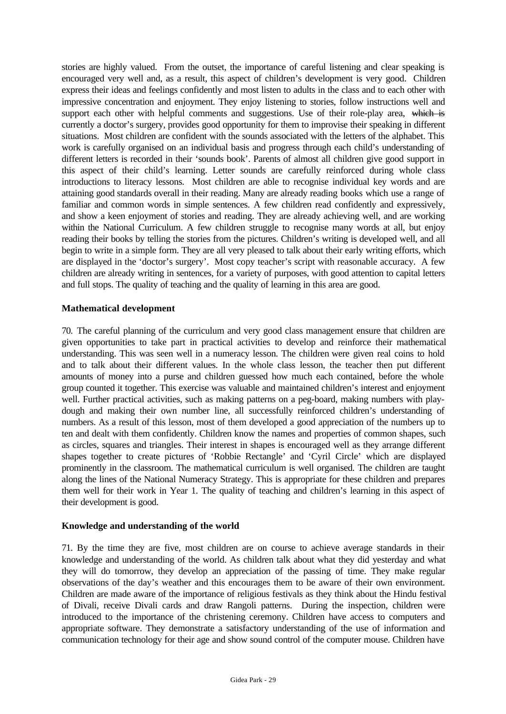stories are highly valued. From the outset, the importance of careful listening and clear speaking is encouraged very well and, as a result, this aspect of children's development is very good. Children express their ideas and feelings confidently and most listen to adults in the class and to each other with impressive concentration and enjoyment. They enjoy listening to stories, follow instructions well and support each other with helpful comments and suggestions. Use of their role-play area, which is currently a doctor's surgery, provides good opportunity for them to improvise their speaking in different situations. Most children are confident with the sounds associated with the letters of the alphabet. This work is carefully organised on an individual basis and progress through each child's understanding of different letters is recorded in their 'sounds book'. Parents of almost all children give good support in this aspect of their child's learning. Letter sounds are carefully reinforced during whole class introductions to literacy lessons. Most children are able to recognise individual key words and are attaining good standards overall in their reading. Many are already reading books which use a range of familiar and common words in simple sentences. A few children read confidently and expressively, and show a keen enjoyment of stories and reading. They are already achieving well, and are working within the National Curriculum. A few children struggle to recognise many words at all, but enjoy reading their books by telling the stories from the pictures. Children's writing is developed well, and all begin to write in a simple form. They are all very pleased to talk about their early writing efforts, which are displayed in the 'doctor's surgery'. Most copy teacher's script with reasonable accuracy. A few children are already writing in sentences, for a variety of purposes, with good attention to capital letters and full stops. The quality of teaching and the quality of learning in this area are good.

#### **Mathematical development**

70. The careful planning of the curriculum and very good class management ensure that children are given opportunities to take part in practical activities to develop and reinforce their mathematical understanding. This was seen well in a numeracy lesson. The children were given real coins to hold and to talk about their different values. In the whole class lesson, the teacher then put different amounts of money into a purse and children guessed how much each contained, before the whole group counted it together. This exercise was valuable and maintained children's interest and enjoyment well. Further practical activities, such as making patterns on a peg-board, making numbers with playdough and making their own number line, all successfully reinforced children's understanding of numbers. As a result of this lesson, most of them developed a good appreciation of the numbers up to ten and dealt with them confidently. Children know the names and properties of common shapes, such as circles, squares and triangles. Their interest in shapes is encouraged well as they arrange different shapes together to create pictures of 'Robbie Rectangle' and 'Cyril Circle' which are displayed prominently in the classroom. The mathematical curriculum is well organised. The children are taught along the lines of the National Numeracy Strategy. This is appropriate for these children and prepares them well for their work in Year 1. The quality of teaching and children's learning in this aspect of their development is good.

#### **Knowledge and understanding of the world**

71. By the time they are five, most children are on course to achieve average standards in their knowledge and understanding of the world. As children talk about what they did yesterday and what they will do tomorrow, they develop an appreciation of the passing of time. They make regular observations of the day's weather and this encourages them to be aware of their own environment. Children are made aware of the importance of religious festivals as they think about the Hindu festival of Divali, receive Divali cards and draw Rangoli patterns. During the inspection, children were introduced to the importance of the christening ceremony. Children have access to computers and appropriate software. They demonstrate a satisfactory understanding of the use of information and communication technology for their age and show sound control of the computer mouse. Children have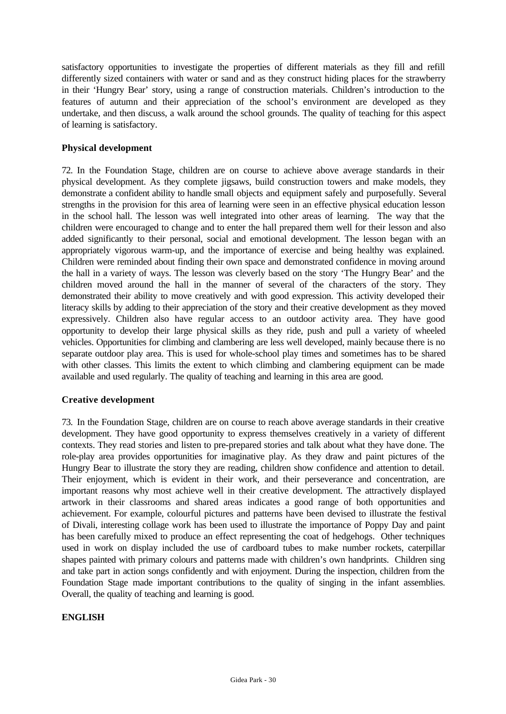satisfactory opportunities to investigate the properties of different materials as they fill and refill differently sized containers with water or sand and as they construct hiding places for the strawberry in their 'Hungry Bear' story, using a range of construction materials. Children's introduction to the features of autumn and their appreciation of the school's environment are developed as they undertake, and then discuss, a walk around the school grounds. The quality of teaching for this aspect of learning is satisfactory.

#### **Physical development**

72. In the Foundation Stage, children are on course to achieve above average standards in their physical development. As they complete jigsaws, build construction towers and make models, they demonstrate a confident ability to handle small objects and equipment safely and purposefully. Several strengths in the provision for this area of learning were seen in an effective physical education lesson in the school hall. The lesson was well integrated into other areas of learning. The way that the children were encouraged to change and to enter the hall prepared them well for their lesson and also added significantly to their personal, social and emotional development. The lesson began with an appropriately vigorous warm-up, and the importance of exercise and being healthy was explained. Children were reminded about finding their own space and demonstrated confidence in moving around the hall in a variety of ways. The lesson was cleverly based on the story 'The Hungry Bear' and the children moved around the hall in the manner of several of the characters of the story. They demonstrated their ability to move creatively and with good expression. This activity developed their literacy skills by adding to their appreciation of the story and their creative development as they moved expressively. Children also have regular access to an outdoor activity area. They have good opportunity to develop their large physical skills as they ride, push and pull a variety of wheeled vehicles. Opportunities for climbing and clambering are less well developed, mainly because there is no separate outdoor play area. This is used for whole-school play times and sometimes has to be shared with other classes. This limits the extent to which climbing and clambering equipment can be made available and used regularly. The quality of teaching and learning in this area are good.

#### **Creative development**

73. In the Foundation Stage, children are on course to reach above average standards in their creative development. They have good opportunity to express themselves creatively in a variety of different contexts. They read stories and listen to pre-prepared stories and talk about what they have done. The role-play area provides opportunities for imaginative play. As they draw and paint pictures of the Hungry Bear to illustrate the story they are reading, children show confidence and attention to detail. Their enjoyment, which is evident in their work, and their perseverance and concentration, are important reasons why most achieve well in their creative development. The attractively displayed artwork in their classrooms and shared areas indicates a good range of both opportunities and achievement. For example, colourful pictures and patterns have been devised to illustrate the festival of Divali, interesting collage work has been used to illustrate the importance of Poppy Day and paint has been carefully mixed to produce an effect representing the coat of hedgehogs. Other techniques used in work on display included the use of cardboard tubes to make number rockets, caterpillar shapes painted with primary colours and patterns made with children's own handprints. Children sing and take part in action songs confidently and with enjoyment. During the inspection, children from the Foundation Stage made important contributions to the quality of singing in the infant assemblies. Overall, the quality of teaching and learning is good.

#### **ENGLISH**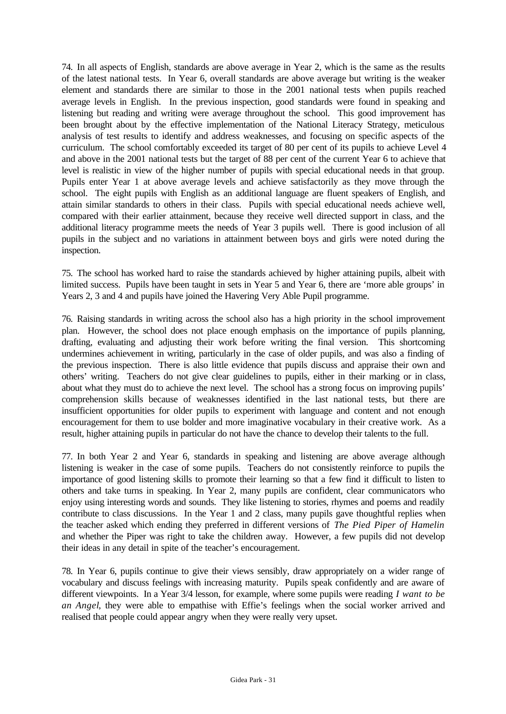74. In all aspects of English, standards are above average in Year 2, which is the same as the results of the latest national tests. In Year 6, overall standards are above average but writing is the weaker element and standards there are similar to those in the 2001 national tests when pupils reached average levels in English. In the previous inspection, good standards were found in speaking and listening but reading and writing were average throughout the school. This good improvement has been brought about by the effective implementation of the National Literacy Strategy, meticulous analysis of test results to identify and address weaknesses, and focusing on specific aspects of the curriculum. The school comfortably exceeded its target of 80 per cent of its pupils to achieve Level 4 and above in the 2001 national tests but the target of 88 per cent of the current Year 6 to achieve that level is realistic in view of the higher number of pupils with special educational needs in that group. Pupils enter Year 1 at above average levels and achieve satisfactorily as they move through the school. The eight pupils with English as an additional language are fluent speakers of English, and attain similar standards to others in their class. Pupils with special educational needs achieve well, compared with their earlier attainment, because they receive well directed support in class, and the additional literacy programme meets the needs of Year 3 pupils well. There is good inclusion of all pupils in the subject and no variations in attainment between boys and girls were noted during the inspection.

75. The school has worked hard to raise the standards achieved by higher attaining pupils, albeit with limited success. Pupils have been taught in sets in Year 5 and Year 6, there are 'more able groups' in Years 2, 3 and 4 and pupils have joined the Havering Very Able Pupil programme.

76. Raising standards in writing across the school also has a high priority in the school improvement plan. However, the school does not place enough emphasis on the importance of pupils planning, drafting, evaluating and adjusting their work before writing the final version. This shortcoming undermines achievement in writing, particularly in the case of older pupils, and was also a finding of the previous inspection. There is also little evidence that pupils discuss and appraise their own and others' writing. Teachers do not give clear guidelines to pupils, either in their marking or in class, about what they must do to achieve the next level. The school has a strong focus on improving pupils' comprehension skills because of weaknesses identified in the last national tests, but there are insufficient opportunities for older pupils to experiment with language and content and not enough encouragement for them to use bolder and more imaginative vocabulary in their creative work. As a result, higher attaining pupils in particular do not have the chance to develop their talents to the full.

77. In both Year 2 and Year 6, standards in speaking and listening are above average although listening is weaker in the case of some pupils. Teachers do not consistently reinforce to pupils the importance of good listening skills to promote their learning so that a few find it difficult to listen to others and take turns in speaking. In Year 2, many pupils are confident, clear communicators who enjoy using interesting words and sounds. They like listening to stories, rhymes and poems and readily contribute to class discussions. In the Year 1 and 2 class, many pupils gave thoughtful replies when the teacher asked which ending they preferred in different versions of *The Pied Piper of Hamelin* and whether the Piper was right to take the children away. However, a few pupils did not develop their ideas in any detail in spite of the teacher's encouragement.

78. In Year 6, pupils continue to give their views sensibly, draw appropriately on a wider range of vocabulary and discuss feelings with increasing maturity. Pupils speak confidently and are aware of different viewpoints. In a Year 3/4 lesson, for example, where some pupils were reading *I want to be an Angel*, they were able to empathise with Effie's feelings when the social worker arrived and realised that people could appear angry when they were really very upset.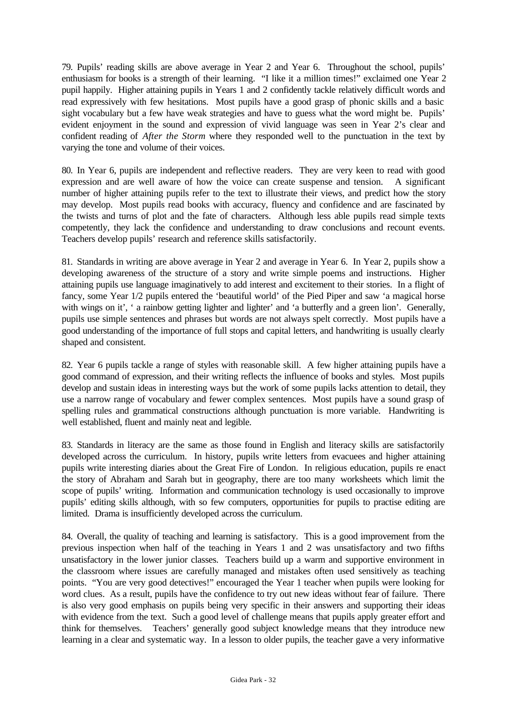79. Pupils' reading skills are above average in Year 2 and Year 6. Throughout the school, pupils' enthusiasm for books is a strength of their learning. "I like it a million times!" exclaimed one Year 2 pupil happily. Higher attaining pupils in Years 1 and 2 confidently tackle relatively difficult words and read expressively with few hesitations. Most pupils have a good grasp of phonic skills and a basic sight vocabulary but a few have weak strategies and have to guess what the word might be. Pupils' evident enjoyment in the sound and expression of vivid language was seen in Year 2's clear and confident reading of *After the Storm* where they responded well to the punctuation in the text by varying the tone and volume of their voices.

80. In Year 6, pupils are independent and reflective readers. They are very keen to read with good expression and are well aware of how the voice can create suspense and tension. A significant number of higher attaining pupils refer to the text to illustrate their views, and predict how the story may develop. Most pupils read books with accuracy, fluency and confidence and are fascinated by the twists and turns of plot and the fate of characters. Although less able pupils read simple texts competently, they lack the confidence and understanding to draw conclusions and recount events. Teachers develop pupils' research and reference skills satisfactorily.

81. Standards in writing are above average in Year 2 and average in Year 6. In Year 2, pupils show a developing awareness of the structure of a story and write simple poems and instructions. Higher attaining pupils use language imaginatively to add interest and excitement to their stories. In a flight of fancy, some Year 1/2 pupils entered the 'beautiful world' of the Pied Piper and saw 'a magical horse with wings on it', ' a rainbow getting lighter and lighter' and 'a butterfly and a green lion'. Generally, pupils use simple sentences and phrases but words are not always spelt correctly. Most pupils have a good understanding of the importance of full stops and capital letters, and handwriting is usually clearly shaped and consistent.

82. Year 6 pupils tackle a range of styles with reasonable skill. A few higher attaining pupils have a good command of expression, and their writing reflects the influence of books and styles. Most pupils develop and sustain ideas in interesting ways but the work of some pupils lacks attention to detail, they use a narrow range of vocabulary and fewer complex sentences. Most pupils have a sound grasp of spelling rules and grammatical constructions although punctuation is more variable. Handwriting is well established, fluent and mainly neat and legible.

83. Standards in literacy are the same as those found in English and literacy skills are satisfactorily developed across the curriculum. In history, pupils write letters from evacuees and higher attaining pupils write interesting diaries about the Great Fire of London. In religious education, pupils re enact the story of Abraham and Sarah but in geography, there are too many worksheets which limit the scope of pupils' writing. Information and communication technology is used occasionally to improve pupils' editing skills although, with so few computers, opportunities for pupils to practise editing are limited. Drama is insufficiently developed across the curriculum.

84. Overall, the quality of teaching and learning is satisfactory. This is a good improvement from the previous inspection when half of the teaching in Years 1 and 2 was unsatisfactory and two fifths unsatisfactory in the lower junior classes. Teachers build up a warm and supportive environment in the classroom where issues are carefully managed and mistakes often used sensitively as teaching points. "You are very good detectives!" encouraged the Year 1 teacher when pupils were looking for word clues. As a result, pupils have the confidence to try out new ideas without fear of failure. There is also very good emphasis on pupils being very specific in their answers and supporting their ideas with evidence from the text. Such a good level of challenge means that pupils apply greater effort and think for themselves. Teachers' generally good subject knowledge means that they introduce new learning in a clear and systematic way. In a lesson to older pupils, the teacher gave a very informative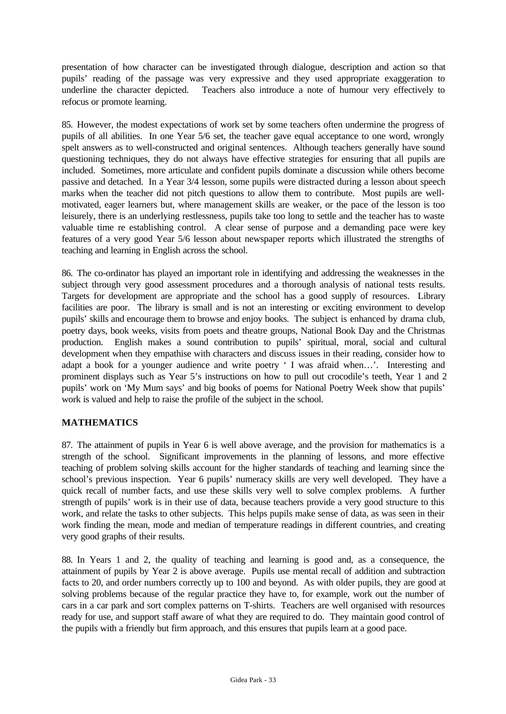presentation of how character can be investigated through dialogue, description and action so that pupils' reading of the passage was very expressive and they used appropriate exaggeration to underline the character depicted. Teachers also introduce a note of humour very effectively to refocus or promote learning.

85. However, the modest expectations of work set by some teachers often undermine the progress of pupils of all abilities. In one Year 5/6 set, the teacher gave equal acceptance to one word, wrongly spelt answers as to well-constructed and original sentences. Although teachers generally have sound questioning techniques, they do not always have effective strategies for ensuring that all pupils are included. Sometimes, more articulate and confident pupils dominate a discussion while others become passive and detached. In a Year 3/4 lesson, some pupils were distracted during a lesson about speech marks when the teacher did not pitch questions to allow them to contribute. Most pupils are wellmotivated, eager learners but, where management skills are weaker, or the pace of the lesson is too leisurely, there is an underlying restlessness, pupils take too long to settle and the teacher has to waste valuable time re establishing control. A clear sense of purpose and a demanding pace were key features of a very good Year 5/6 lesson about newspaper reports which illustrated the strengths of teaching and learning in English across the school.

86. The co-ordinator has played an important role in identifying and addressing the weaknesses in the subject through very good assessment procedures and a thorough analysis of national tests results. Targets for development are appropriate and the school has a good supply of resources. Library facilities are poor. The library is small and is not an interesting or exciting environment to develop pupils' skills and encourage them to browse and enjoy books. The subject is enhanced by drama club, poetry days, book weeks, visits from poets and theatre groups, National Book Day and the Christmas production. English makes a sound contribution to pupils' spiritual, moral, social and cultural development when they empathise with characters and discuss issues in their reading, consider how to adapt a book for a younger audience and write poetry ' I was afraid when…'. Interesting and prominent displays such as Year 5's instructions on how to pull out crocodile's teeth, Year 1 and 2 pupils' work on 'My Mum says' and big books of poems for National Poetry Week show that pupils' work is valued and help to raise the profile of the subject in the school.

## **MATHEMATICS**

87. The attainment of pupils in Year 6 is well above average, and the provision for mathematics is a strength of the school. Significant improvements in the planning of lessons, and more effective teaching of problem solving skills account for the higher standards of teaching and learning since the school's previous inspection. Year 6 pupils' numeracy skills are very well developed. They have a quick recall of number facts, and use these skills very well to solve complex problems. A further strength of pupils' work is in their use of data, because teachers provide a very good structure to this work, and relate the tasks to other subjects. This helps pupils make sense of data, as was seen in their work finding the mean, mode and median of temperature readings in different countries, and creating very good graphs of their results.

88. In Years 1 and 2, the quality of teaching and learning is good and, as a consequence, the attainment of pupils by Year 2 is above average. Pupils use mental recall of addition and subtraction facts to 20, and order numbers correctly up to 100 and beyond. As with older pupils, they are good at solving problems because of the regular practice they have to, for example, work out the number of cars in a car park and sort complex patterns on T-shirts. Teachers are well organised with resources ready for use, and support staff aware of what they are required to do. They maintain good control of the pupils with a friendly but firm approach, and this ensures that pupils learn at a good pace.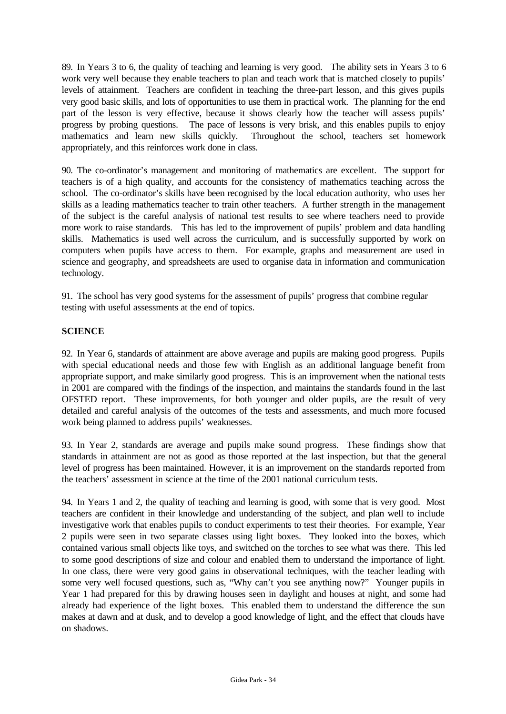89. In Years 3 to 6, the quality of teaching and learning is very good. The ability sets in Years 3 to 6 work very well because they enable teachers to plan and teach work that is matched closely to pupils' levels of attainment. Teachers are confident in teaching the three-part lesson, and this gives pupils very good basic skills, and lots of opportunities to use them in practical work. The planning for the end part of the lesson is very effective, because it shows clearly how the teacher will assess pupils' progress by probing questions. The pace of lessons is very brisk, and this enables pupils to enjoy mathematics and learn new skills quickly. Throughout the school, teachers set homework appropriately, and this reinforces work done in class.

90. The co-ordinator's management and monitoring of mathematics are excellent. The support for teachers is of a high quality, and accounts for the consistency of mathematics teaching across the school. The co-ordinator's skills have been recognised by the local education authority, who uses her skills as a leading mathematics teacher to train other teachers. A further strength in the management of the subject is the careful analysis of national test results to see where teachers need to provide more work to raise standards. This has led to the improvement of pupils' problem and data handling skills. Mathematics is used well across the curriculum, and is successfully supported by work on computers when pupils have access to them. For example, graphs and measurement are used in science and geography, and spreadsheets are used to organise data in information and communication technology.

91. The school has very good systems for the assessment of pupils' progress that combine regular testing with useful assessments at the end of topics.

#### **SCIENCE**

92. In Year 6, standards of attainment are above average and pupils are making good progress. Pupils with special educational needs and those few with English as an additional language benefit from appropriate support, and make similarly good progress. This is an improvement when the national tests in 2001 are compared with the findings of the inspection, and maintains the standards found in the last OFSTED report. These improvements, for both younger and older pupils, are the result of very detailed and careful analysis of the outcomes of the tests and assessments, and much more focused work being planned to address pupils' weaknesses.

93. In Year 2, standards are average and pupils make sound progress. These findings show that standards in attainment are not as good as those reported at the last inspection, but that the general level of progress has been maintained. However, it is an improvement on the standards reported from the teachers' assessment in science at the time of the 2001 national curriculum tests.

94. In Years 1 and 2, the quality of teaching and learning is good, with some that is very good. Most teachers are confident in their knowledge and understanding of the subject, and plan well to include investigative work that enables pupils to conduct experiments to test their theories. For example, Year 2 pupils were seen in two separate classes using light boxes. They looked into the boxes, which contained various small objects like toys, and switched on the torches to see what was there. This led to some good descriptions of size and colour and enabled them to understand the importance of light. In one class, there were very good gains in observational techniques, with the teacher leading with some very well focused questions, such as, "Why can't you see anything now?" Younger pupils in Year 1 had prepared for this by drawing houses seen in daylight and houses at night, and some had already had experience of the light boxes. This enabled them to understand the difference the sun makes at dawn and at dusk, and to develop a good knowledge of light, and the effect that clouds have on shadows.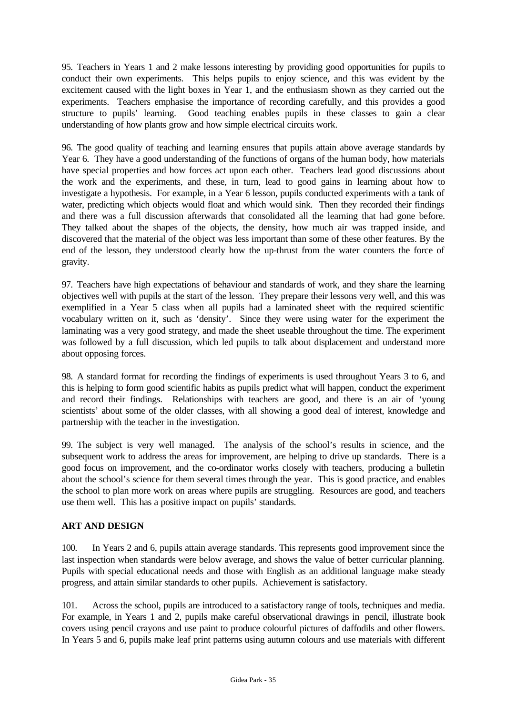95. Teachers in Years 1 and 2 make lessons interesting by providing good opportunities for pupils to conduct their own experiments. This helps pupils to enjoy science, and this was evident by the excitement caused with the light boxes in Year 1, and the enthusiasm shown as they carried out the experiments. Teachers emphasise the importance of recording carefully, and this provides a good structure to pupils' learning. Good teaching enables pupils in these classes to gain a clear understanding of how plants grow and how simple electrical circuits work.

96. The good quality of teaching and learning ensures that pupils attain above average standards by Year 6. They have a good understanding of the functions of organs of the human body, how materials have special properties and how forces act upon each other. Teachers lead good discussions about the work and the experiments, and these, in turn, lead to good gains in learning about how to investigate a hypothesis. For example, in a Year 6 lesson, pupils conducted experiments with a tank of water, predicting which objects would float and which would sink. Then they recorded their findings and there was a full discussion afterwards that consolidated all the learning that had gone before. They talked about the shapes of the objects, the density, how much air was trapped inside, and discovered that the material of the object was less important than some of these other features. By the end of the lesson, they understood clearly how the up-thrust from the water counters the force of gravity.

97. Teachers have high expectations of behaviour and standards of work, and they share the learning objectives well with pupils at the start of the lesson. They prepare their lessons very well, and this was exemplified in a Year 5 class when all pupils had a laminated sheet with the required scientific vocabulary written on it, such as 'density'. Since they were using water for the experiment the laminating was a very good strategy, and made the sheet useable throughout the time. The experiment was followed by a full discussion, which led pupils to talk about displacement and understand more about opposing forces.

98. A standard format for recording the findings of experiments is used throughout Years 3 to 6, and this is helping to form good scientific habits as pupils predict what will happen, conduct the experiment and record their findings. Relationships with teachers are good, and there is an air of 'young scientists' about some of the older classes, with all showing a good deal of interest, knowledge and partnership with the teacher in the investigation.

99. The subject is very well managed. The analysis of the school's results in science, and the subsequent work to address the areas for improvement, are helping to drive up standards. There is a good focus on improvement, and the co-ordinator works closely with teachers, producing a bulletin about the school's science for them several times through the year. This is good practice, and enables the school to plan more work on areas where pupils are struggling. Resources are good, and teachers use them well. This has a positive impact on pupils' standards.

## **ART AND DESIGN**

100. In Years 2 and 6, pupils attain average standards. This represents good improvement since the last inspection when standards were below average, and shows the value of better curricular planning. Pupils with special educational needs and those with English as an additional language make steady progress, and attain similar standards to other pupils. Achievement is satisfactory.

101. Across the school, pupils are introduced to a satisfactory range of tools, techniques and media. For example, in Years 1 and 2, pupils make careful observational drawings in pencil, illustrate book covers using pencil crayons and use paint to produce colourful pictures of daffodils and other flowers. In Years 5 and 6, pupils make leaf print patterns using autumn colours and use materials with different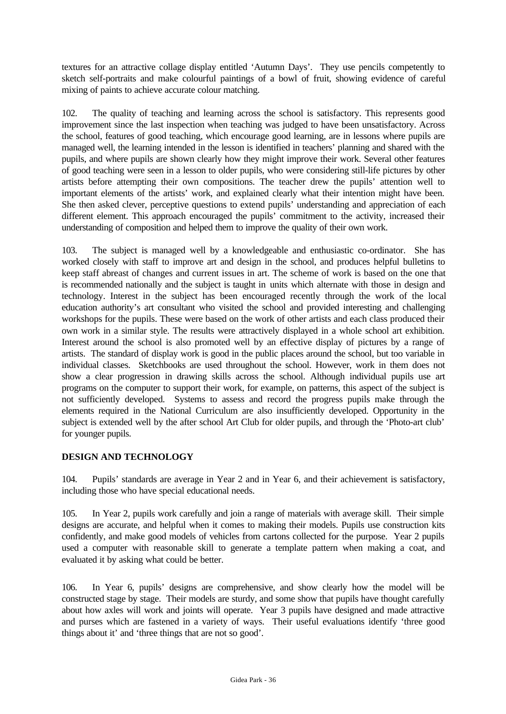textures for an attractive collage display entitled 'Autumn Days'. They use pencils competently to sketch self-portraits and make colourful paintings of a bowl of fruit, showing evidence of careful mixing of paints to achieve accurate colour matching.

102. The quality of teaching and learning across the school is satisfactory. This represents good improvement since the last inspection when teaching was judged to have been unsatisfactory. Across the school, features of good teaching, which encourage good learning, are in lessons where pupils are managed well, the learning intended in the lesson is identified in teachers' planning and shared with the pupils, and where pupils are shown clearly how they might improve their work. Several other features of good teaching were seen in a lesson to older pupils, who were considering still-life pictures by other artists before attempting their own compositions. The teacher drew the pupils' attention well to important elements of the artists' work, and explained clearly what their intention might have been. She then asked clever, perceptive questions to extend pupils' understanding and appreciation of each different element. This approach encouraged the pupils' commitment to the activity, increased their understanding of composition and helped them to improve the quality of their own work.

103. The subject is managed well by a knowledgeable and enthusiastic co-ordinator. She has worked closely with staff to improve art and design in the school, and produces helpful bulletins to keep staff abreast of changes and current issues in art. The scheme of work is based on the one that is recommended nationally and the subject is taught in units which alternate with those in design and technology. Interest in the subject has been encouraged recently through the work of the local education authority's art consultant who visited the school and provided interesting and challenging workshops for the pupils. These were based on the work of other artists and each class produced their own work in a similar style. The results were attractively displayed in a whole school art exhibition. Interest around the school is also promoted well by an effective display of pictures by a range of artists. The standard of display work is good in the public places around the school, but too variable in individual classes. Sketchbooks are used throughout the school. However, work in them does not show a clear progression in drawing skills across the school. Although individual pupils use art programs on the computer to support their work, for example, on patterns, this aspect of the subject is not sufficiently developed. Systems to assess and record the progress pupils make through the elements required in the National Curriculum are also insufficiently developed. Opportunity in the subject is extended well by the after school Art Club for older pupils, and through the 'Photo-art club' for younger pupils.

## **DESIGN AND TECHNOLOGY**

104. Pupils' standards are average in Year 2 and in Year 6, and their achievement is satisfactory, including those who have special educational needs.

105. In Year 2, pupils work carefully and join a range of materials with average skill. Their simple designs are accurate, and helpful when it comes to making their models. Pupils use construction kits confidently, and make good models of vehicles from cartons collected for the purpose. Year 2 pupils used a computer with reasonable skill to generate a template pattern when making a coat, and evaluated it by asking what could be better.

106. In Year 6, pupils' designs are comprehensive, and show clearly how the model will be constructed stage by stage. Their models are sturdy, and some show that pupils have thought carefully about how axles will work and joints will operate. Year 3 pupils have designed and made attractive and purses which are fastened in a variety of ways. Their useful evaluations identify 'three good things about it' and 'three things that are not so good'.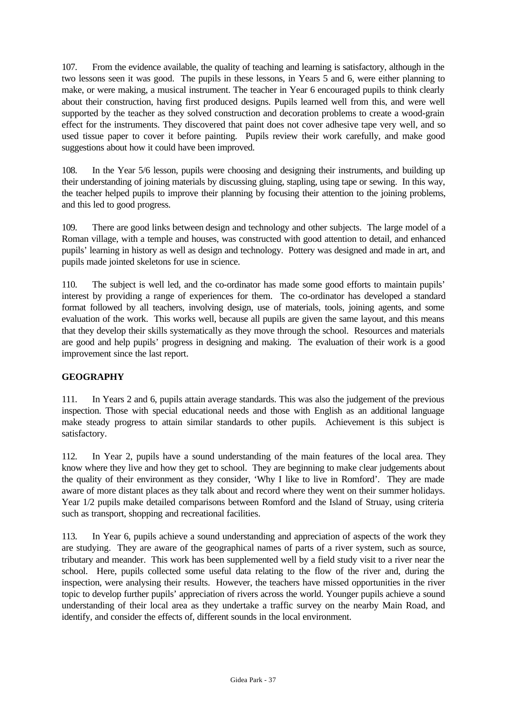107. From the evidence available, the quality of teaching and learning is satisfactory, although in the two lessons seen it was good. The pupils in these lessons, in Years 5 and 6, were either planning to make, or were making, a musical instrument. The teacher in Year 6 encouraged pupils to think clearly about their construction, having first produced designs. Pupils learned well from this, and were well supported by the teacher as they solved construction and decoration problems to create a wood-grain effect for the instruments. They discovered that paint does not cover adhesive tape very well, and so used tissue paper to cover it before painting. Pupils review their work carefully, and make good suggestions about how it could have been improved.

108. In the Year 5/6 lesson, pupils were choosing and designing their instruments, and building up their understanding of joining materials by discussing gluing, stapling, using tape or sewing. In this way, the teacher helped pupils to improve their planning by focusing their attention to the joining problems, and this led to good progress.

109. There are good links between design and technology and other subjects. The large model of a Roman village, with a temple and houses, was constructed with good attention to detail, and enhanced pupils' learning in history as well as design and technology. Pottery was designed and made in art, and pupils made jointed skeletons for use in science.

110. The subject is well led, and the co-ordinator has made some good efforts to maintain pupils' interest by providing a range of experiences for them. The co-ordinator has developed a standard format followed by all teachers, involving design, use of materials, tools, joining agents, and some evaluation of the work. This works well, because all pupils are given the same layout, and this means that they develop their skills systematically as they move through the school. Resources and materials are good and help pupils' progress in designing and making. The evaluation of their work is a good improvement since the last report.

# **GEOGRAPHY**

111. In Years 2 and 6, pupils attain average standards. This was also the judgement of the previous inspection. Those with special educational needs and those with English as an additional language make steady progress to attain similar standards to other pupils. Achievement is this subject is satisfactory.

112. In Year 2, pupils have a sound understanding of the main features of the local area. They know where they live and how they get to school. They are beginning to make clear judgements about the quality of their environment as they consider, 'Why I like to live in Romford'. They are made aware of more distant places as they talk about and record where they went on their summer holidays. Year 1/2 pupils make detailed comparisons between Romford and the Island of Struay, using criteria such as transport, shopping and recreational facilities.

113. In Year 6, pupils achieve a sound understanding and appreciation of aspects of the work they are studying. They are aware of the geographical names of parts of a river system, such as source, tributary and meander. This work has been supplemented well by a field study visit to a river near the school. Here, pupils collected some useful data relating to the flow of the river and, during the inspection, were analysing their results. However, the teachers have missed opportunities in the river topic to develop further pupils' appreciation of rivers across the world. Younger pupils achieve a sound understanding of their local area as they undertake a traffic survey on the nearby Main Road, and identify, and consider the effects of, different sounds in the local environment.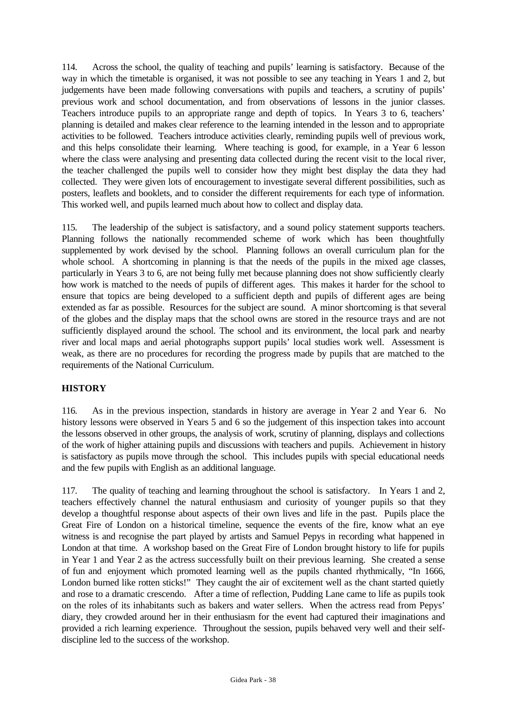114. Across the school, the quality of teaching and pupils' learning is satisfactory. Because of the way in which the timetable is organised, it was not possible to see any teaching in Years 1 and 2, but judgements have been made following conversations with pupils and teachers, a scrutiny of pupils' previous work and school documentation, and from observations of lessons in the junior classes. Teachers introduce pupils to an appropriate range and depth of topics. In Years 3 to 6, teachers' planning is detailed and makes clear reference to the learning intended in the lesson and to appropriate activities to be followed. Teachers introduce activities clearly, reminding pupils well of previous work, and this helps consolidate their learning. Where teaching is good, for example, in a Year 6 lesson where the class were analysing and presenting data collected during the recent visit to the local river, the teacher challenged the pupils well to consider how they might best display the data they had collected. They were given lots of encouragement to investigate several different possibilities, such as posters, leaflets and booklets, and to consider the different requirements for each type of information. This worked well, and pupils learned much about how to collect and display data.

115. The leadership of the subject is satisfactory, and a sound policy statement supports teachers. Planning follows the nationally recommended scheme of work which has been thoughtfully supplemented by work devised by the school. Planning follows an overall curriculum plan for the whole school. A shortcoming in planning is that the needs of the pupils in the mixed age classes, particularly in Years 3 to 6, are not being fully met because planning does not show sufficiently clearly how work is matched to the needs of pupils of different ages. This makes it harder for the school to ensure that topics are being developed to a sufficient depth and pupils of different ages are being extended as far as possible. Resources for the subject are sound. A minor shortcoming is that several of the globes and the display maps that the school owns are stored in the resource trays and are not sufficiently displayed around the school. The school and its environment, the local park and nearby river and local maps and aerial photographs support pupils' local studies work well. Assessment is weak, as there are no procedures for recording the progress made by pupils that are matched to the requirements of the National Curriculum.

# **HISTORY**

116. As in the previous inspection, standards in history are average in Year 2 and Year 6. No history lessons were observed in Years 5 and 6 so the judgement of this inspection takes into account the lessons observed in other groups, the analysis of work, scrutiny of planning, displays and collections of the work of higher attaining pupils and discussions with teachers and pupils. Achievement in history is satisfactory as pupils move through the school. This includes pupils with special educational needs and the few pupils with English as an additional language.

117. The quality of teaching and learning throughout the school is satisfactory. In Years 1 and 2, teachers effectively channel the natural enthusiasm and curiosity of younger pupils so that they develop a thoughtful response about aspects of their own lives and life in the past. Pupils place the Great Fire of London on a historical timeline, sequence the events of the fire, know what an eye witness is and recognise the part played by artists and Samuel Pepys in recording what happened in London at that time. A workshop based on the Great Fire of London brought history to life for pupils in Year 1 and Year 2 as the actress successfully built on their previous learning. She created a sense of fun and enjoyment which promoted learning well as the pupils chanted rhythmically, "In 1666, London burned like rotten sticks!" They caught the air of excitement well as the chant started quietly and rose to a dramatic crescendo. After a time of reflection, Pudding Lane came to life as pupils took on the roles of its inhabitants such as bakers and water sellers. When the actress read from Pepys' diary, they crowded around her in their enthusiasm for the event had captured their imaginations and provided a rich learning experience. Throughout the session, pupils behaved very well and their selfdiscipline led to the success of the workshop.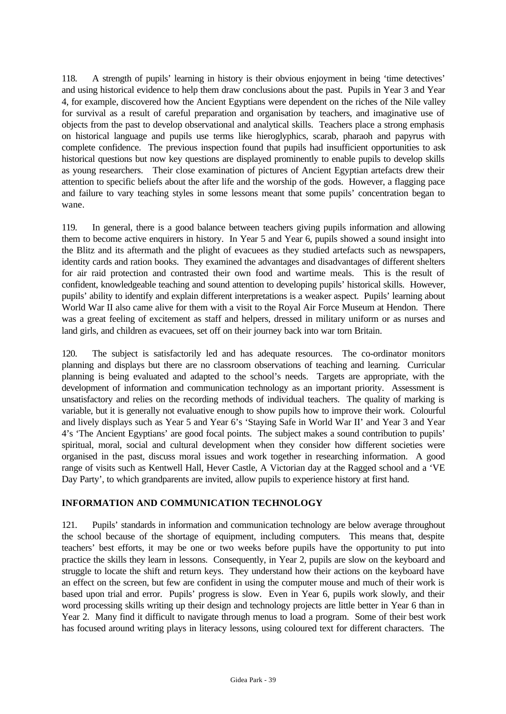118. A strength of pupils' learning in history is their obvious enjoyment in being 'time detectives' and using historical evidence to help them draw conclusions about the past. Pupils in Year 3 and Year 4, for example, discovered how the Ancient Egyptians were dependent on the riches of the Nile valley for survival as a result of careful preparation and organisation by teachers, and imaginative use of objects from the past to develop observational and analytical skills. Teachers place a strong emphasis on historical language and pupils use terms like hieroglyphics, scarab, pharaoh and papyrus with complete confidence. The previous inspection found that pupils had insufficient opportunities to ask historical questions but now key questions are displayed prominently to enable pupils to develop skills as young researchers. Their close examination of pictures of Ancient Egyptian artefacts drew their attention to specific beliefs about the after life and the worship of the gods. However, a flagging pace and failure to vary teaching styles in some lessons meant that some pupils' concentration began to wane.

119. In general, there is a good balance between teachers giving pupils information and allowing them to become active enquirers in history. In Year 5 and Year 6, pupils showed a sound insight into the Blitz and its aftermath and the plight of evacuees as they studied artefacts such as newspapers, identity cards and ration books. They examined the advantages and disadvantages of different shelters for air raid protection and contrasted their own food and wartime meals. This is the result of confident, knowledgeable teaching and sound attention to developing pupils' historical skills. However, pupils' ability to identify and explain different interpretations is a weaker aspect. Pupils' learning about World War II also came alive for them with a visit to the Royal Air Force Museum at Hendon. There was a great feeling of excitement as staff and helpers, dressed in military uniform or as nurses and land girls, and children as evacuees, set off on their journey back into war torn Britain.

120. The subject is satisfactorily led and has adequate resources. The co-ordinator monitors planning and displays but there are no classroom observations of teaching and learning. Curricular planning is being evaluated and adapted to the school's needs. Targets are appropriate, with the development of information and communication technology as an important priority. Assessment is unsatisfactory and relies on the recording methods of individual teachers. The quality of marking is variable, but it is generally not evaluative enough to show pupils how to improve their work. Colourful and lively displays such as Year 5 and Year 6's 'Staying Safe in World War II' and Year 3 and Year 4's 'The Ancient Egyptians' are good focal points. The subject makes a sound contribution to pupils' spiritual, moral, social and cultural development when they consider how different societies were organised in the past, discuss moral issues and work together in researching information. A good range of visits such as Kentwell Hall, Hever Castle, A Victorian day at the Ragged school and a 'VE Day Party', to which grandparents are invited, allow pupils to experience history at first hand.

# **INFORMATION AND COMMUNICATION TECHNOLOGY**

121. Pupils' standards in information and communication technology are below average throughout the school because of the shortage of equipment, including computers. This means that, despite teachers' best efforts, it may be one or two weeks before pupils have the opportunity to put into practice the skills they learn in lessons. Consequently, in Year 2, pupils are slow on the keyboard and struggle to locate the shift and return keys. They understand how their actions on the keyboard have an effect on the screen, but few are confident in using the computer mouse and much of their work is based upon trial and error. Pupils' progress is slow. Even in Year 6, pupils work slowly, and their word processing skills writing up their design and technology projects are little better in Year 6 than in Year 2. Many find it difficult to navigate through menus to load a program. Some of their best work has focused around writing plays in literacy lessons, using coloured text for different characters. The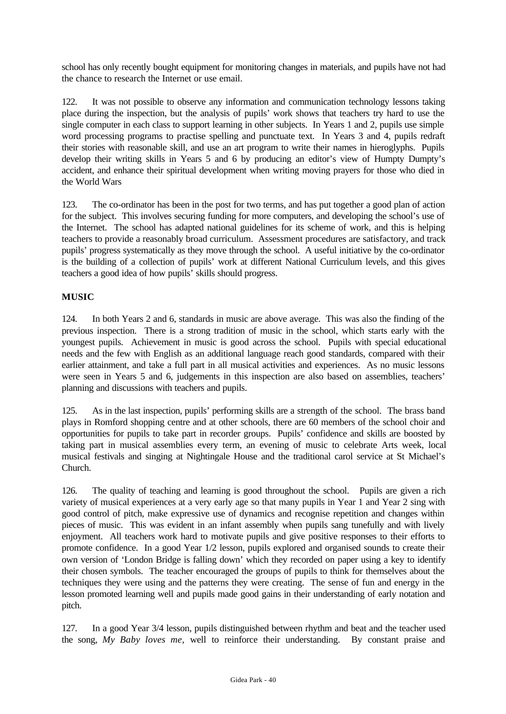school has only recently bought equipment for monitoring changes in materials, and pupils have not had the chance to research the Internet or use email.

122. It was not possible to observe any information and communication technology lessons taking place during the inspection, but the analysis of pupils' work shows that teachers try hard to use the single computer in each class to support learning in other subjects. In Years 1 and 2, pupils use simple word processing programs to practise spelling and punctuate text. In Years 3 and 4, pupils redraft their stories with reasonable skill, and use an art program to write their names in hieroglyphs. Pupils develop their writing skills in Years 5 and 6 by producing an editor's view of Humpty Dumpty's accident, and enhance their spiritual development when writing moving prayers for those who died in the World Wars

123. The co-ordinator has been in the post for two terms, and has put together a good plan of action for the subject. This involves securing funding for more computers, and developing the school's use of the Internet. The school has adapted national guidelines for its scheme of work, and this is helping teachers to provide a reasonably broad curriculum. Assessment procedures are satisfactory, and track pupils' progress systematically as they move through the school. A useful initiative by the co-ordinator is the building of a collection of pupils' work at different National Curriculum levels, and this gives teachers a good idea of how pupils' skills should progress.

## **MUSIC**

124. In both Years 2 and 6, standards in music are above average. This was also the finding of the previous inspection. There is a strong tradition of music in the school, which starts early with the youngest pupils. Achievement in music is good across the school. Pupils with special educational needs and the few with English as an additional language reach good standards, compared with their earlier attainment, and take a full part in all musical activities and experiences. As no music lessons were seen in Years 5 and 6, judgements in this inspection are also based on assemblies, teachers' planning and discussions with teachers and pupils.

125. As in the last inspection, pupils' performing skills are a strength of the school. The brass band plays in Romford shopping centre and at other schools, there are 60 members of the school choir and opportunities for pupils to take part in recorder groups. Pupils' confidence and skills are boosted by taking part in musical assemblies every term, an evening of music to celebrate Arts week, local musical festivals and singing at Nightingale House and the traditional carol service at St Michael's Church.

126. The quality of teaching and learning is good throughout the school. Pupils are given a rich variety of musical experiences at a very early age so that many pupils in Year 1 and Year 2 sing with good control of pitch, make expressive use of dynamics and recognise repetition and changes within pieces of music. This was evident in an infant assembly when pupils sang tunefully and with lively enjoyment. All teachers work hard to motivate pupils and give positive responses to their efforts to promote confidence. In a good Year 1/2 lesson, pupils explored and organised sounds to create their own version of 'London Bridge is falling down' which they recorded on paper using a key to identify their chosen symbols. The teacher encouraged the groups of pupils to think for themselves about the techniques they were using and the patterns they were creating. The sense of fun and energy in the lesson promoted learning well and pupils made good gains in their understanding of early notation and pitch.

127. In a good Year 3/4 lesson, pupils distinguished between rhythm and beat and the teacher used the song, *My Baby loves me,* well to reinforce their understanding. By constant praise and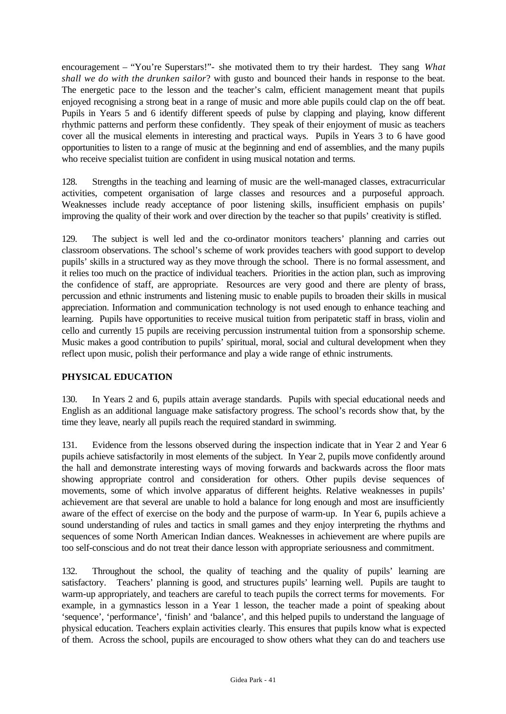encouragement – "You're Superstars!"- she motivated them to try their hardest. They sang *What shall we do with the drunken sailor*? with gusto and bounced their hands in response to the beat. The energetic pace to the lesson and the teacher's calm, efficient management meant that pupils enjoyed recognising a strong beat in a range of music and more able pupils could clap on the off beat. Pupils in Years 5 and 6 identify different speeds of pulse by clapping and playing, know different rhythmic patterns and perform these confidently. They speak of their enjoyment of music as teachers cover all the musical elements in interesting and practical ways. Pupils in Years 3 to 6 have good opportunities to listen to a range of music at the beginning and end of assemblies, and the many pupils who receive specialist tuition are confident in using musical notation and terms.

128. Strengths in the teaching and learning of music are the well-managed classes, extracurricular activities, competent organisation of large classes and resources and a purposeful approach. Weaknesses include ready acceptance of poor listening skills, insufficient emphasis on pupils' improving the quality of their work and over direction by the teacher so that pupils' creativity is stifled.

129. The subject is well led and the co-ordinator monitors teachers' planning and carries out classroom observations. The school's scheme of work provides teachers with good support to develop pupils' skills in a structured way as they move through the school. There is no formal assessment, and it relies too much on the practice of individual teachers. Priorities in the action plan, such as improving the confidence of staff, are appropriate. Resources are very good and there are plenty of brass, percussion and ethnic instruments and listening music to enable pupils to broaden their skills in musical appreciation. Information and communication technology is not used enough to enhance teaching and learning. Pupils have opportunities to receive musical tuition from peripatetic staff in brass, violin and cello and currently 15 pupils are receiving percussion instrumental tuition from a sponsorship scheme. Music makes a good contribution to pupils' spiritual, moral, social and cultural development when they reflect upon music, polish their performance and play a wide range of ethnic instruments.

## **PHYSICAL EDUCATION**

130. In Years 2 and 6, pupils attain average standards. Pupils with special educational needs and English as an additional language make satisfactory progress. The school's records show that, by the time they leave, nearly all pupils reach the required standard in swimming.

131. Evidence from the lessons observed during the inspection indicate that in Year 2 and Year 6 pupils achieve satisfactorily in most elements of the subject. In Year 2, pupils move confidently around the hall and demonstrate interesting ways of moving forwards and backwards across the floor mats showing appropriate control and consideration for others. Other pupils devise sequences of movements, some of which involve apparatus of different heights. Relative weaknesses in pupils' achievement are that several are unable to hold a balance for long enough and most are insufficiently aware of the effect of exercise on the body and the purpose of warm-up. In Year 6, pupils achieve a sound understanding of rules and tactics in small games and they enjoy interpreting the rhythms and sequences of some North American Indian dances. Weaknesses in achievement are where pupils are too self-conscious and do not treat their dance lesson with appropriate seriousness and commitment.

132. Throughout the school, the quality of teaching and the quality of pupils' learning are satisfactory. Teachers' planning is good, and structures pupils' learning well. Pupils are taught to warm-up appropriately, and teachers are careful to teach pupils the correct terms for movements. For example, in a gymnastics lesson in a Year 1 lesson, the teacher made a point of speaking about 'sequence', 'performance', 'finish' and 'balance', and this helped pupils to understand the language of physical education. Teachers explain activities clearly. This ensures that pupils know what is expected of them. Across the school, pupils are encouraged to show others what they can do and teachers use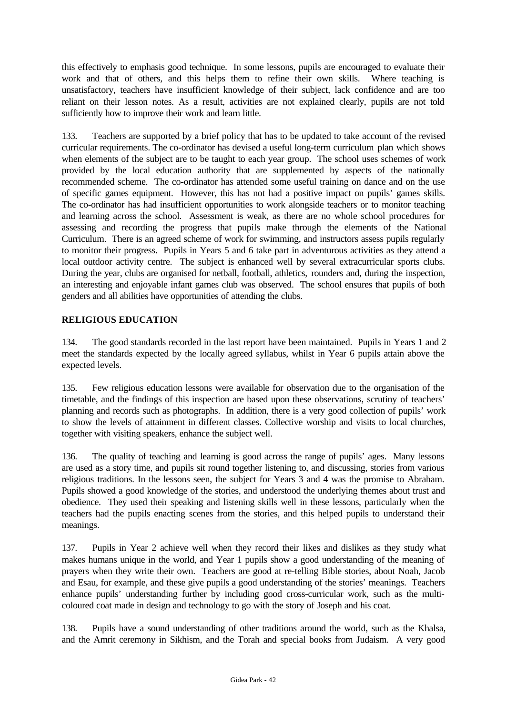this effectively to emphasis good technique. In some lessons, pupils are encouraged to evaluate their work and that of others, and this helps them to refine their own skills. Where teaching is unsatisfactory, teachers have insufficient knowledge of their subject, lack confidence and are too reliant on their lesson notes. As a result, activities are not explained clearly, pupils are not told sufficiently how to improve their work and learn little.

133. Teachers are supported by a brief policy that has to be updated to take account of the revised curricular requirements. The co-ordinator has devised a useful long-term curriculum plan which shows when elements of the subject are to be taught to each year group. The school uses schemes of work provided by the local education authority that are supplemented by aspects of the nationally recommended scheme. The co-ordinator has attended some useful training on dance and on the use of specific games equipment. However, this has not had a positive impact on pupils' games skills. The co-ordinator has had insufficient opportunities to work alongside teachers or to monitor teaching and learning across the school. Assessment is weak, as there are no whole school procedures for assessing and recording the progress that pupils make through the elements of the National Curriculum. There is an agreed scheme of work for swimming, and instructors assess pupils regularly to monitor their progress. Pupils in Years 5 and 6 take part in adventurous activities as they attend a local outdoor activity centre. The subject is enhanced well by several extracurricular sports clubs. During the year, clubs are organised for netball, football, athletics, rounders and, during the inspection, an interesting and enjoyable infant games club was observed. The school ensures that pupils of both genders and all abilities have opportunities of attending the clubs.

## **RELIGIOUS EDUCATION**

134. The good standards recorded in the last report have been maintained. Pupils in Years 1 and 2 meet the standards expected by the locally agreed syllabus, whilst in Year 6 pupils attain above the expected levels.

135. Few religious education lessons were available for observation due to the organisation of the timetable, and the findings of this inspection are based upon these observations, scrutiny of teachers' planning and records such as photographs. In addition, there is a very good collection of pupils' work to show the levels of attainment in different classes. Collective worship and visits to local churches, together with visiting speakers, enhance the subject well.

136. The quality of teaching and learning is good across the range of pupils' ages. Many lessons are used as a story time, and pupils sit round together listening to, and discussing, stories from various religious traditions. In the lessons seen, the subject for Years 3 and 4 was the promise to Abraham. Pupils showed a good knowledge of the stories, and understood the underlying themes about trust and obedience. They used their speaking and listening skills well in these lessons, particularly when the teachers had the pupils enacting scenes from the stories, and this helped pupils to understand their meanings.

137. Pupils in Year 2 achieve well when they record their likes and dislikes as they study what makes humans unique in the world, and Year 1 pupils show a good understanding of the meaning of prayers when they write their own. Teachers are good at re-telling Bible stories, about Noah, Jacob and Esau, for example, and these give pupils a good understanding of the stories' meanings. Teachers enhance pupils' understanding further by including good cross-curricular work, such as the multicoloured coat made in design and technology to go with the story of Joseph and his coat.

138. Pupils have a sound understanding of other traditions around the world, such as the Khalsa, and the Amrit ceremony in Sikhism, and the Torah and special books from Judaism. A very good